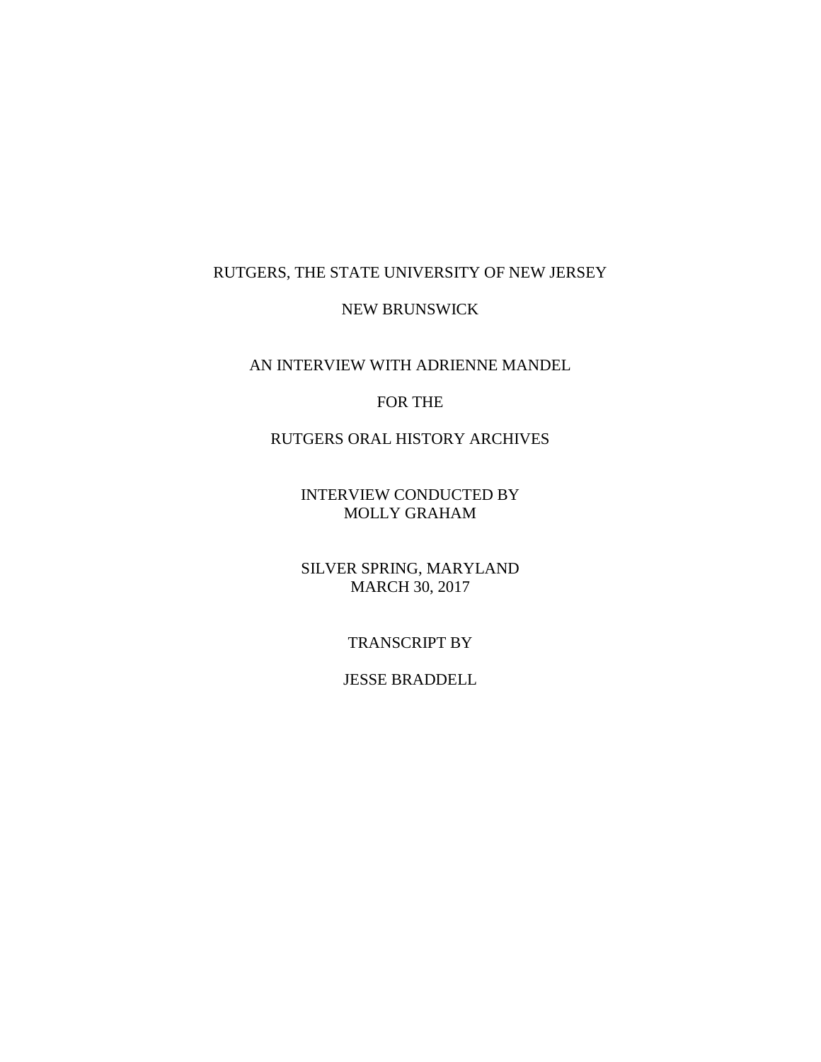# RUTGERS, THE STATE UNIVERSITY OF NEW JERSEY

# NEW BRUNSWICK

AN INTERVIEW WITH ADRIENNE MANDEL

# FOR THE

# RUTGERS ORAL HISTORY ARCHIVES

INTERVIEW CONDUCTED BY MOLLY GRAHAM

SILVER SPRING, MARYLAND MARCH 30, 2017

# TRANSCRIPT BY

# JESSE BRADDELL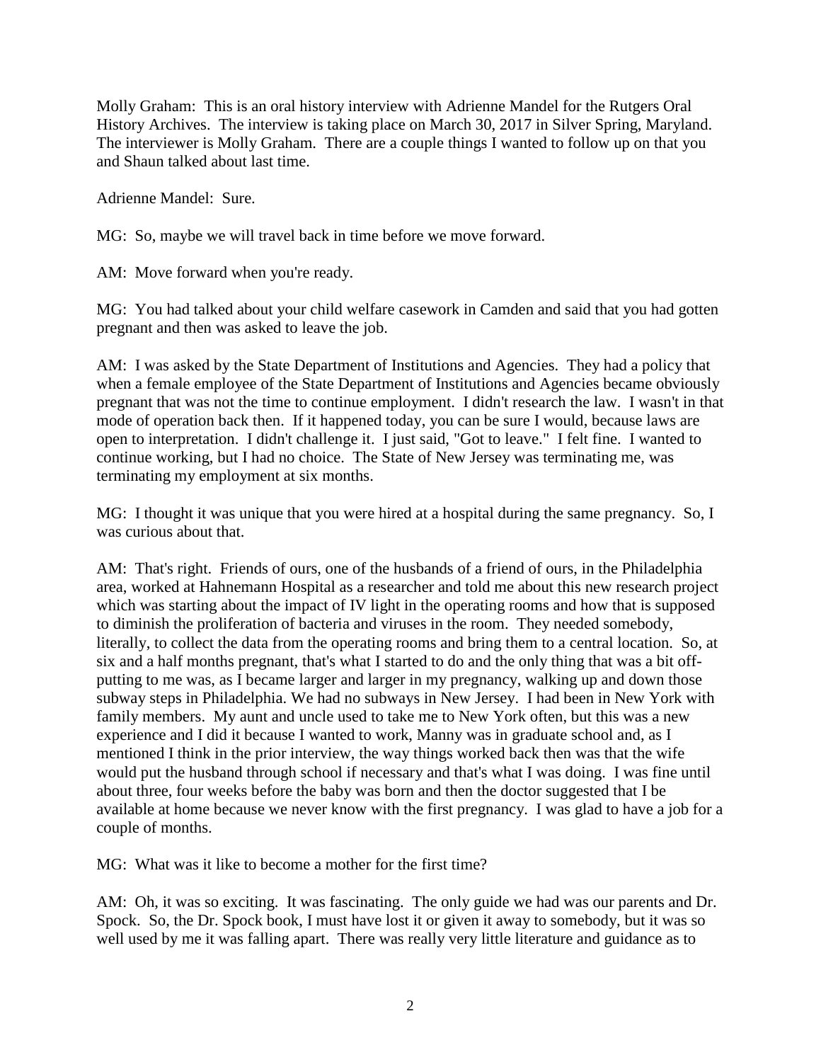Molly Graham: This is an oral history interview with Adrienne Mandel for the Rutgers Oral History Archives. The interview is taking place on March 30, 2017 in Silver Spring, Maryland. The interviewer is Molly Graham. There are a couple things I wanted to follow up on that you and Shaun talked about last time.

Adrienne Mandel: Sure.

MG: So, maybe we will travel back in time before we move forward.

AM: Move forward when you're ready.

MG: You had talked about your child welfare casework in Camden and said that you had gotten pregnant and then was asked to leave the job.

AM: I was asked by the State Department of Institutions and Agencies. They had a policy that when a female employee of the State Department of Institutions and Agencies became obviously pregnant that was not the time to continue employment. I didn't research the law. I wasn't in that mode of operation back then. If it happened today, you can be sure I would, because laws are open to interpretation. I didn't challenge it. I just said, "Got to leave." I felt fine. I wanted to continue working, but I had no choice. The State of New Jersey was terminating me, was terminating my employment at six months.

MG: I thought it was unique that you were hired at a hospital during the same pregnancy. So, I was curious about that.

AM: That's right. Friends of ours, one of the husbands of a friend of ours, in the Philadelphia area, worked at Hahnemann Hospital as a researcher and told me about this new research project which was starting about the impact of IV light in the operating rooms and how that is supposed to diminish the proliferation of bacteria and viruses in the room. They needed somebody, literally, to collect the data from the operating rooms and bring them to a central location. So, at six and a half months pregnant, that's what I started to do and the only thing that was a bit offputting to me was, as I became larger and larger in my pregnancy, walking up and down those subway steps in Philadelphia. We had no subways in New Jersey. I had been in New York with family members. My aunt and uncle used to take me to New York often, but this was a new experience and I did it because I wanted to work, Manny was in graduate school and, as I mentioned I think in the prior interview, the way things worked back then was that the wife would put the husband through school if necessary and that's what I was doing. I was fine until about three, four weeks before the baby was born and then the doctor suggested that I be available at home because we never know with the first pregnancy. I was glad to have a job for a couple of months.

MG: What was it like to become a mother for the first time?

AM: Oh, it was so exciting. It was fascinating. The only guide we had was our parents and Dr. Spock. So, the Dr. Spock book, I must have lost it or given it away to somebody, but it was so well used by me it was falling apart. There was really very little literature and guidance as to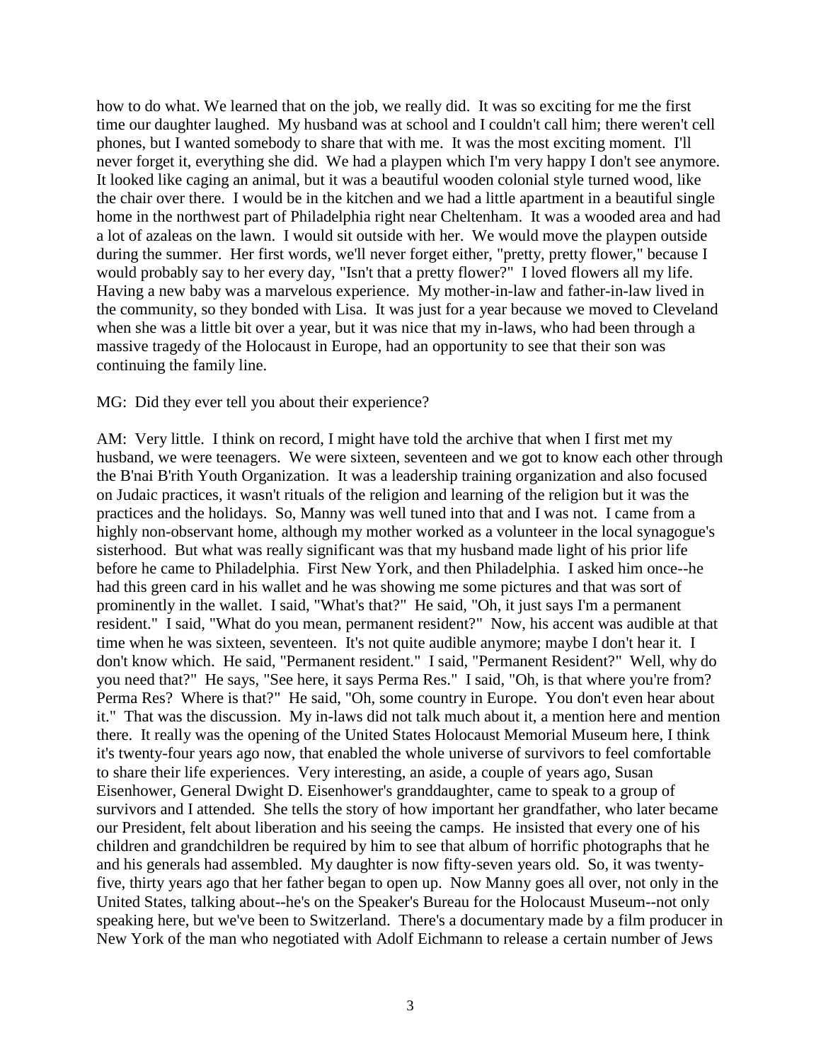how to do what. We learned that on the job, we really did. It was so exciting for me the first time our daughter laughed. My husband was at school and I couldn't call him; there weren't cell phones, but I wanted somebody to share that with me. It was the most exciting moment. I'll never forget it, everything she did. We had a playpen which I'm very happy I don't see anymore. It looked like caging an animal, but it was a beautiful wooden colonial style turned wood, like the chair over there. I would be in the kitchen and we had a little apartment in a beautiful single home in the northwest part of Philadelphia right near Cheltenham. It was a wooded area and had a lot of azaleas on the lawn. I would sit outside with her. We would move the playpen outside during the summer. Her first words, we'll never forget either, "pretty, pretty flower," because I would probably say to her every day, "Isn't that a pretty flower?" I loved flowers all my life. Having a new baby was a marvelous experience. My mother-in-law and father-in-law lived in the community, so they bonded with Lisa. It was just for a year because we moved to Cleveland when she was a little bit over a year, but it was nice that my in-laws, who had been through a massive tragedy of the Holocaust in Europe, had an opportunity to see that their son was continuing the family line.

#### MG: Did they ever tell you about their experience?

AM: Very little. I think on record, I might have told the archive that when I first met my husband, we were teenagers. We were sixteen, seventeen and we got to know each other through the B'nai B'rith Youth Organization. It was a leadership training organization and also focused on Judaic practices, it wasn't rituals of the religion and learning of the religion but it was the practices and the holidays. So, Manny was well tuned into that and I was not. I came from a highly non-observant home, although my mother worked as a volunteer in the local synagogue's sisterhood. But what was really significant was that my husband made light of his prior life before he came to Philadelphia. First New York, and then Philadelphia. I asked him once--he had this green card in his wallet and he was showing me some pictures and that was sort of prominently in the wallet. I said, "What's that?" He said, "Oh, it just says I'm a permanent resident." I said, "What do you mean, permanent resident?" Now, his accent was audible at that time when he was sixteen, seventeen. It's not quite audible anymore; maybe I don't hear it. I don't know which. He said, "Permanent resident." I said, "Permanent Resident?" Well, why do you need that?" He says, "See here, it says Perma Res." I said, "Oh, is that where you're from? Perma Res? Where is that?" He said, "Oh, some country in Europe. You don't even hear about it." That was the discussion. My in-laws did not talk much about it, a mention here and mention there. It really was the opening of the United States Holocaust Memorial Museum here, I think it's twenty-four years ago now, that enabled the whole universe of survivors to feel comfortable to share their life experiences. Very interesting, an aside, a couple of years ago, Susan Eisenhower, General Dwight D. Eisenhower's granddaughter, came to speak to a group of survivors and I attended. She tells the story of how important her grandfather, who later became our President, felt about liberation and his seeing the camps. He insisted that every one of his children and grandchildren be required by him to see that album of horrific photographs that he and his generals had assembled. My daughter is now fifty-seven years old. So, it was twentyfive, thirty years ago that her father began to open up. Now Manny goes all over, not only in the United States, talking about--he's on the Speaker's Bureau for the Holocaust Museum--not only speaking here, but we've been to Switzerland. There's a documentary made by a film producer in New York of the man who negotiated with Adolf Eichmann to release a certain number of Jews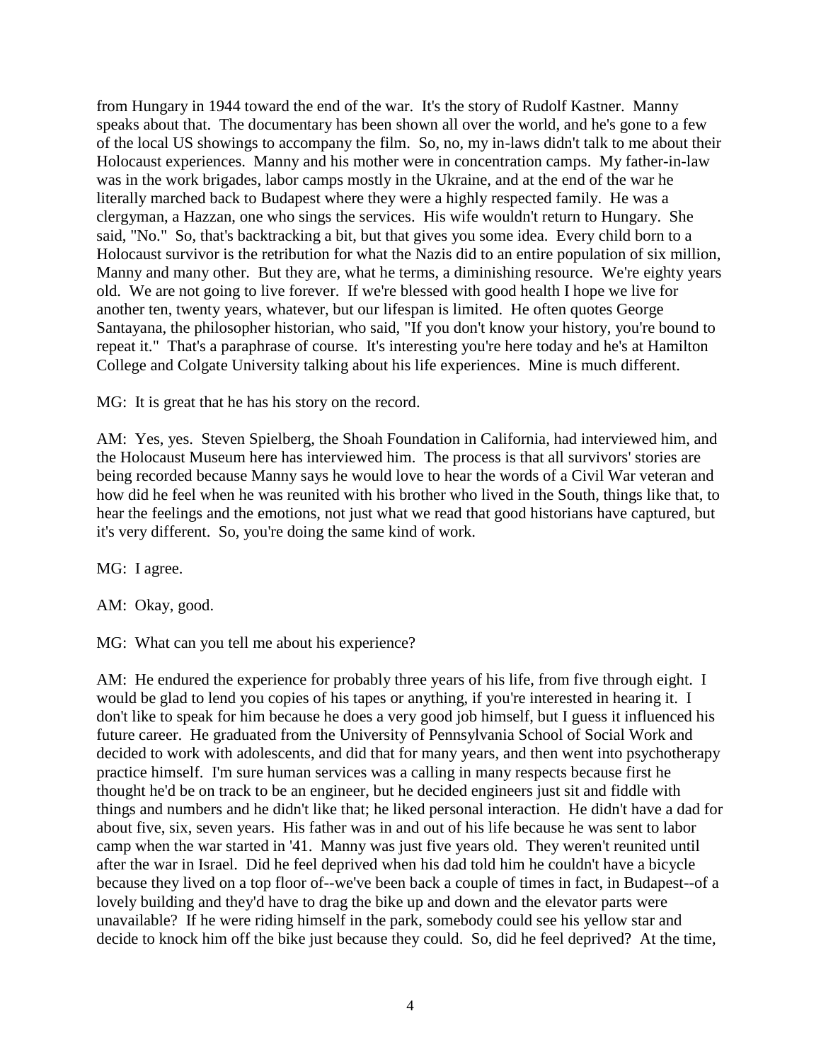from Hungary in 1944 toward the end of the war. It's the story of Rudolf Kastner. Manny speaks about that. The documentary has been shown all over the world, and he's gone to a few of the local US showings to accompany the film. So, no, my in-laws didn't talk to me about their Holocaust experiences. Manny and his mother were in concentration camps. My father-in-law was in the work brigades, labor camps mostly in the Ukraine, and at the end of the war he literally marched back to Budapest where they were a highly respected family. He was a clergyman, a Hazzan, one who sings the services. His wife wouldn't return to Hungary. She said, "No." So, that's backtracking a bit, but that gives you some idea. Every child born to a Holocaust survivor is the retribution for what the Nazis did to an entire population of six million, Manny and many other. But they are, what he terms, a diminishing resource. We're eighty years old. We are not going to live forever. If we're blessed with good health I hope we live for another ten, twenty years, whatever, but our lifespan is limited. He often quotes George Santayana, the philosopher historian, who said, "If you don't know your history, you're bound to repeat it." That's a paraphrase of course. It's interesting you're here today and he's at Hamilton College and Colgate University talking about his life experiences. Mine is much different.

MG: It is great that he has his story on the record.

AM: Yes, yes. Steven Spielberg, the Shoah Foundation in California, had interviewed him, and the Holocaust Museum here has interviewed him. The process is that all survivors' stories are being recorded because Manny says he would love to hear the words of a Civil War veteran and how did he feel when he was reunited with his brother who lived in the South, things like that, to hear the feelings and the emotions, not just what we read that good historians have captured, but it's very different. So, you're doing the same kind of work.

MG: I agree.

AM: Okay, good.

MG: What can you tell me about his experience?

AM: He endured the experience for probably three years of his life, from five through eight. I would be glad to lend you copies of his tapes or anything, if you're interested in hearing it. I don't like to speak for him because he does a very good job himself, but I guess it influenced his future career. He graduated from the University of Pennsylvania School of Social Work and decided to work with adolescents, and did that for many years, and then went into psychotherapy practice himself. I'm sure human services was a calling in many respects because first he thought he'd be on track to be an engineer, but he decided engineers just sit and fiddle with things and numbers and he didn't like that; he liked personal interaction. He didn't have a dad for about five, six, seven years. His father was in and out of his life because he was sent to labor camp when the war started in '41. Manny was just five years old. They weren't reunited until after the war in Israel. Did he feel deprived when his dad told him he couldn't have a bicycle because they lived on a top floor of--we've been back a couple of times in fact, in Budapest--of a lovely building and they'd have to drag the bike up and down and the elevator parts were unavailable? If he were riding himself in the park, somebody could see his yellow star and decide to knock him off the bike just because they could. So, did he feel deprived? At the time,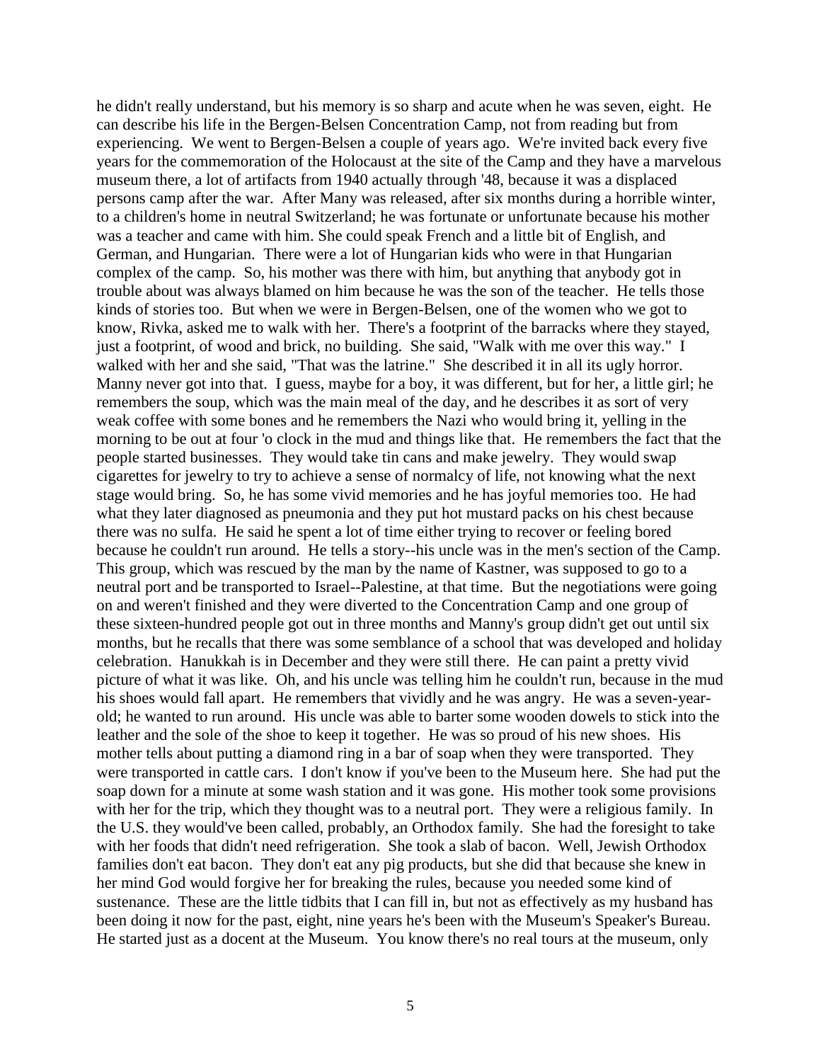he didn't really understand, but his memory is so sharp and acute when he was seven, eight. He can describe his life in the Bergen-Belsen Concentration Camp, not from reading but from experiencing. We went to Bergen-Belsen a couple of years ago. We're invited back every five years for the commemoration of the Holocaust at the site of the Camp and they have a marvelous museum there, a lot of artifacts from 1940 actually through '48, because it was a displaced persons camp after the war. After Many was released, after six months during a horrible winter, to a children's home in neutral Switzerland; he was fortunate or unfortunate because his mother was a teacher and came with him. She could speak French and a little bit of English, and German, and Hungarian. There were a lot of Hungarian kids who were in that Hungarian complex of the camp. So, his mother was there with him, but anything that anybody got in trouble about was always blamed on him because he was the son of the teacher. He tells those kinds of stories too. But when we were in Bergen-Belsen, one of the women who we got to know, Rivka, asked me to walk with her. There's a footprint of the barracks where they stayed, just a footprint, of wood and brick, no building. She said, "Walk with me over this way." I walked with her and she said, "That was the latrine." She described it in all its ugly horror. Manny never got into that. I guess, maybe for a boy, it was different, but for her, a little girl; he remembers the soup, which was the main meal of the day, and he describes it as sort of very weak coffee with some bones and he remembers the Nazi who would bring it, yelling in the morning to be out at four 'o clock in the mud and things like that. He remembers the fact that the people started businesses. They would take tin cans and make jewelry. They would swap cigarettes for jewelry to try to achieve a sense of normalcy of life, not knowing what the next stage would bring. So, he has some vivid memories and he has joyful memories too. He had what they later diagnosed as pneumonia and they put hot mustard packs on his chest because there was no sulfa. He said he spent a lot of time either trying to recover or feeling bored because he couldn't run around. He tells a story--his uncle was in the men's section of the Camp. This group, which was rescued by the man by the name of Kastner, was supposed to go to a neutral port and be transported to Israel--Palestine, at that time. But the negotiations were going on and weren't finished and they were diverted to the Concentration Camp and one group of these sixteen-hundred people got out in three months and Manny's group didn't get out until six months, but he recalls that there was some semblance of a school that was developed and holiday celebration. Hanukkah is in December and they were still there. He can paint a pretty vivid picture of what it was like. Oh, and his uncle was telling him he couldn't run, because in the mud his shoes would fall apart. He remembers that vividly and he was angry. He was a seven-yearold; he wanted to run around. His uncle was able to barter some wooden dowels to stick into the leather and the sole of the shoe to keep it together. He was so proud of his new shoes. His mother tells about putting a diamond ring in a bar of soap when they were transported. They were transported in cattle cars. I don't know if you've been to the Museum here. She had put the soap down for a minute at some wash station and it was gone. His mother took some provisions with her for the trip, which they thought was to a neutral port. They were a religious family. In the U.S. they would've been called, probably, an Orthodox family. She had the foresight to take with her foods that didn't need refrigeration. She took a slab of bacon. Well, Jewish Orthodox families don't eat bacon. They don't eat any pig products, but she did that because she knew in her mind God would forgive her for breaking the rules, because you needed some kind of sustenance. These are the little tidbits that I can fill in, but not as effectively as my husband has been doing it now for the past, eight, nine years he's been with the Museum's Speaker's Bureau. He started just as a docent at the Museum. You know there's no real tours at the museum, only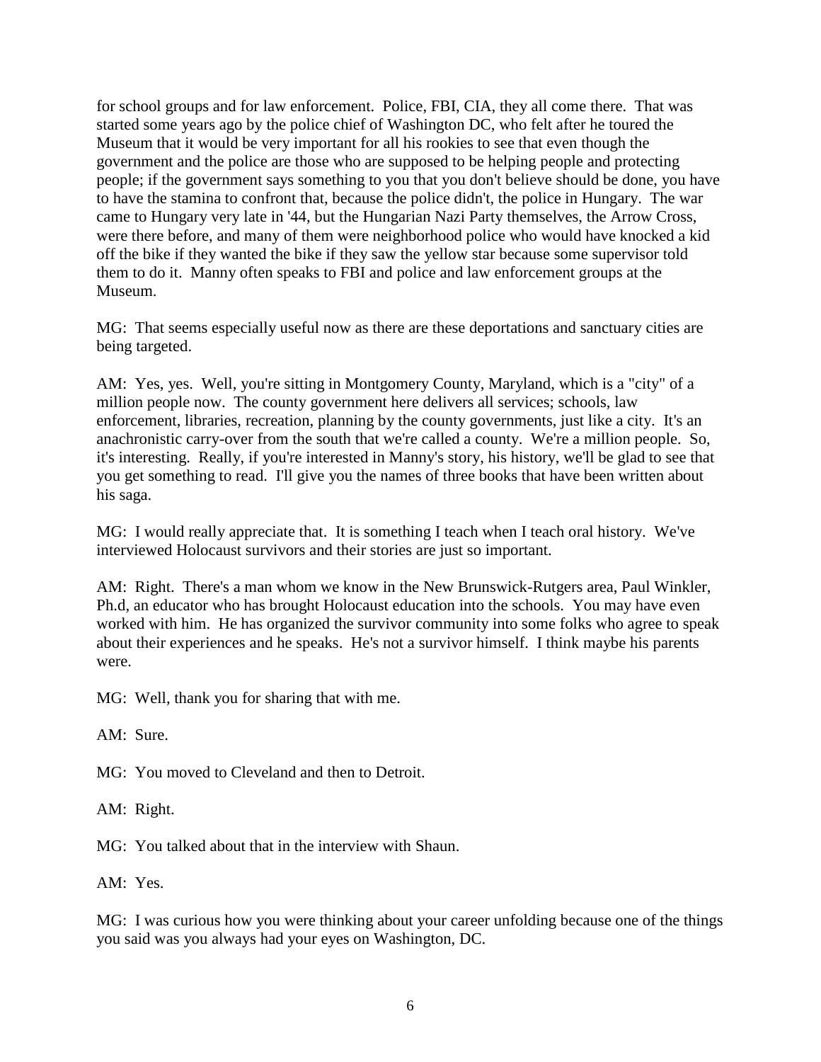for school groups and for law enforcement. Police, FBI, CIA, they all come there. That was started some years ago by the police chief of Washington DC, who felt after he toured the Museum that it would be very important for all his rookies to see that even though the government and the police are those who are supposed to be helping people and protecting people; if the government says something to you that you don't believe should be done, you have to have the stamina to confront that, because the police didn't, the police in Hungary. The war came to Hungary very late in '44, but the Hungarian Nazi Party themselves, the Arrow Cross, were there before, and many of them were neighborhood police who would have knocked a kid off the bike if they wanted the bike if they saw the yellow star because some supervisor told them to do it. Manny often speaks to FBI and police and law enforcement groups at the Museum.

MG: That seems especially useful now as there are these deportations and sanctuary cities are being targeted.

AM: Yes, yes. Well, you're sitting in Montgomery County, Maryland, which is a "city" of a million people now. The county government here delivers all services; schools, law enforcement, libraries, recreation, planning by the county governments, just like a city. It's an anachronistic carry-over from the south that we're called a county. We're a million people. So, it's interesting. Really, if you're interested in Manny's story, his history, we'll be glad to see that you get something to read. I'll give you the names of three books that have been written about his saga.

MG: I would really appreciate that. It is something I teach when I teach oral history. We've interviewed Holocaust survivors and their stories are just so important.

AM: Right. There's a man whom we know in the New Brunswick-Rutgers area, Paul Winkler, Ph.d, an educator who has brought Holocaust education into the schools. You may have even worked with him. He has organized the survivor community into some folks who agree to speak about their experiences and he speaks. He's not a survivor himself. I think maybe his parents were.

MG: Well, thank you for sharing that with me.

AM: Sure.

MG: You moved to Cleveland and then to Detroit.

AM: Right.

MG: You talked about that in the interview with Shaun.

AM: Yes.

MG: I was curious how you were thinking about your career unfolding because one of the things you said was you always had your eyes on Washington, DC.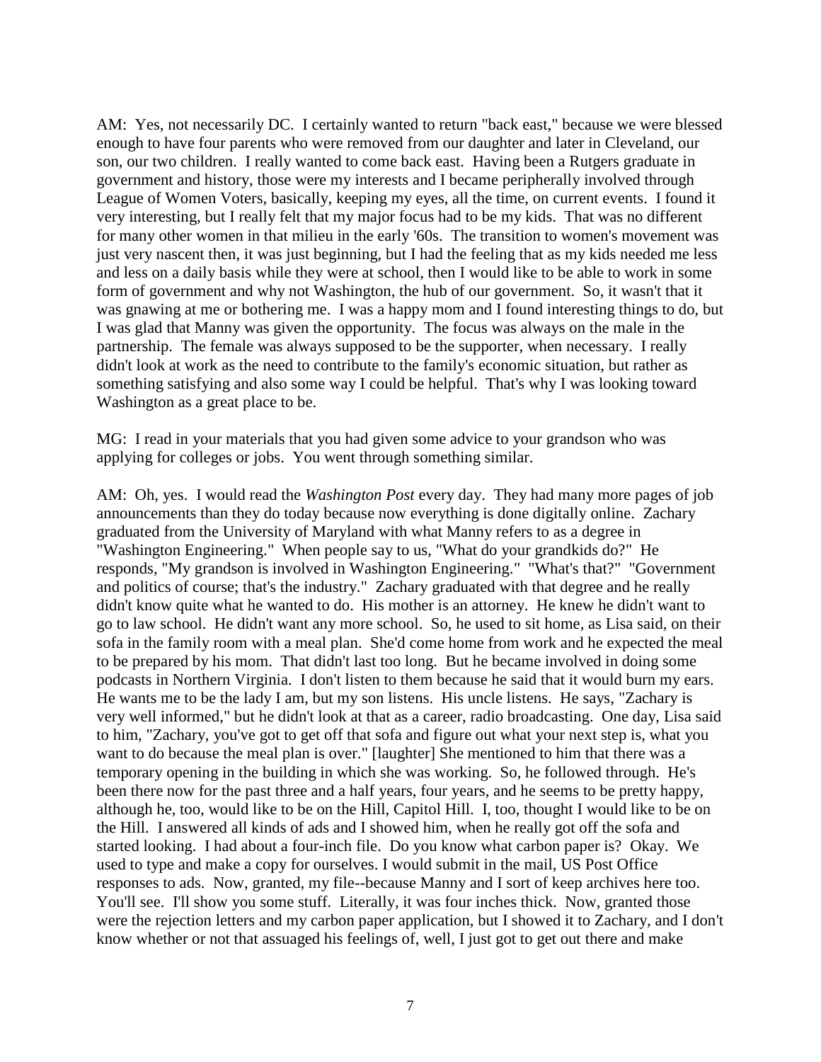AM: Yes, not necessarily DC. I certainly wanted to return "back east," because we were blessed enough to have four parents who were removed from our daughter and later in Cleveland, our son, our two children. I really wanted to come back east. Having been a Rutgers graduate in government and history, those were my interests and I became peripherally involved through League of Women Voters, basically, keeping my eyes, all the time, on current events. I found it very interesting, but I really felt that my major focus had to be my kids. That was no different for many other women in that milieu in the early '60s. The transition to women's movement was just very nascent then, it was just beginning, but I had the feeling that as my kids needed me less and less on a daily basis while they were at school, then I would like to be able to work in some form of government and why not Washington, the hub of our government. So, it wasn't that it was gnawing at me or bothering me. I was a happy mom and I found interesting things to do, but I was glad that Manny was given the opportunity. The focus was always on the male in the partnership. The female was always supposed to be the supporter, when necessary. I really didn't look at work as the need to contribute to the family's economic situation, but rather as something satisfying and also some way I could be helpful. That's why I was looking toward Washington as a great place to be.

MG: I read in your materials that you had given some advice to your grandson who was applying for colleges or jobs. You went through something similar.

AM: Oh, yes. I would read the *Washington Post* every day. They had many more pages of job announcements than they do today because now everything is done digitally online. Zachary graduated from the University of Maryland with what Manny refers to as a degree in "Washington Engineering." When people say to us, "What do your grandkids do?" He responds, "My grandson is involved in Washington Engineering." "What's that?" "Government and politics of course; that's the industry." Zachary graduated with that degree and he really didn't know quite what he wanted to do. His mother is an attorney. He knew he didn't want to go to law school. He didn't want any more school. So, he used to sit home, as Lisa said, on their sofa in the family room with a meal plan. She'd come home from work and he expected the meal to be prepared by his mom. That didn't last too long. But he became involved in doing some podcasts in Northern Virginia. I don't listen to them because he said that it would burn my ears. He wants me to be the lady I am, but my son listens. His uncle listens. He says, "Zachary is very well informed," but he didn't look at that as a career, radio broadcasting. One day, Lisa said to him, "Zachary, you've got to get off that sofa and figure out what your next step is, what you want to do because the meal plan is over." [laughter] She mentioned to him that there was a temporary opening in the building in which she was working. So, he followed through. He's been there now for the past three and a half years, four years, and he seems to be pretty happy, although he, too, would like to be on the Hill, Capitol Hill. I, too, thought I would like to be on the Hill. I answered all kinds of ads and I showed him, when he really got off the sofa and started looking. I had about a four-inch file. Do you know what carbon paper is? Okay. We used to type and make a copy for ourselves. I would submit in the mail, US Post Office responses to ads. Now, granted, my file--because Manny and I sort of keep archives here too. You'll see. I'll show you some stuff. Literally, it was four inches thick. Now, granted those were the rejection letters and my carbon paper application, but I showed it to Zachary, and I don't know whether or not that assuaged his feelings of, well, I just got to get out there and make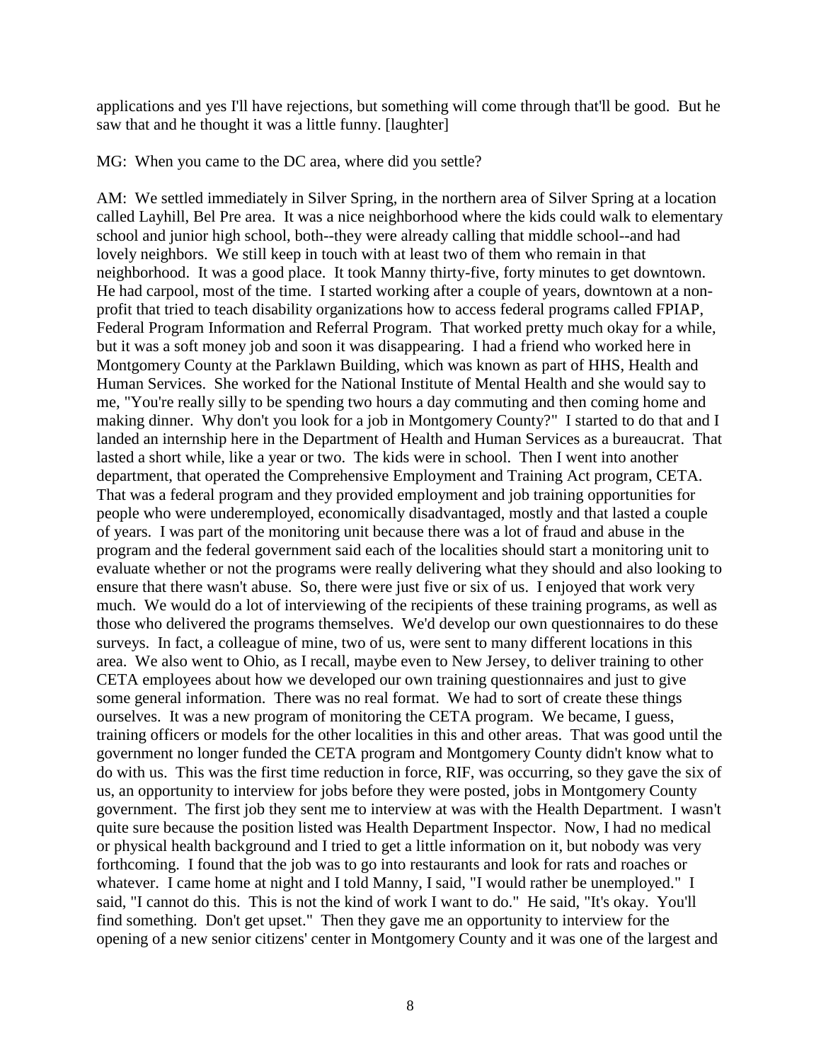applications and yes I'll have rejections, but something will come through that'll be good. But he saw that and he thought it was a little funny. [laughter]

MG: When you came to the DC area, where did you settle?

AM: We settled immediately in Silver Spring, in the northern area of Silver Spring at a location called Layhill, Bel Pre area. It was a nice neighborhood where the kids could walk to elementary school and junior high school, both--they were already calling that middle school--and had lovely neighbors. We still keep in touch with at least two of them who remain in that neighborhood. It was a good place. It took Manny thirty-five, forty minutes to get downtown. He had carpool, most of the time. I started working after a couple of years, downtown at a nonprofit that tried to teach disability organizations how to access federal programs called FPIAP, Federal Program Information and Referral Program. That worked pretty much okay for a while, but it was a soft money job and soon it was disappearing. I had a friend who worked here in Montgomery County at the Parklawn Building, which was known as part of HHS, Health and Human Services. She worked for the National Institute of Mental Health and she would say to me, "You're really silly to be spending two hours a day commuting and then coming home and making dinner. Why don't you look for a job in Montgomery County?" I started to do that and I landed an internship here in the Department of Health and Human Services as a bureaucrat. That lasted a short while, like a year or two. The kids were in school. Then I went into another department, that operated the Comprehensive Employment and Training Act program, CETA. That was a federal program and they provided employment and job training opportunities for people who were underemployed, economically disadvantaged, mostly and that lasted a couple of years. I was part of the monitoring unit because there was a lot of fraud and abuse in the program and the federal government said each of the localities should start a monitoring unit to evaluate whether or not the programs were really delivering what they should and also looking to ensure that there wasn't abuse. So, there were just five or six of us. I enjoyed that work very much. We would do a lot of interviewing of the recipients of these training programs, as well as those who delivered the programs themselves. We'd develop our own questionnaires to do these surveys. In fact, a colleague of mine, two of us, were sent to many different locations in this area. We also went to Ohio, as I recall, maybe even to New Jersey, to deliver training to other CETA employees about how we developed our own training questionnaires and just to give some general information. There was no real format. We had to sort of create these things ourselves. It was a new program of monitoring the CETA program. We became, I guess, training officers or models for the other localities in this and other areas. That was good until the government no longer funded the CETA program and Montgomery County didn't know what to do with us. This was the first time reduction in force, RIF, was occurring, so they gave the six of us, an opportunity to interview for jobs before they were posted, jobs in Montgomery County government. The first job they sent me to interview at was with the Health Department. I wasn't quite sure because the position listed was Health Department Inspector. Now, I had no medical or physical health background and I tried to get a little information on it, but nobody was very forthcoming. I found that the job was to go into restaurants and look for rats and roaches or whatever. I came home at night and I told Manny, I said, "I would rather be unemployed." I said, "I cannot do this. This is not the kind of work I want to do." He said, "It's okay. You'll find something. Don't get upset." Then they gave me an opportunity to interview for the opening of a new senior citizens' center in Montgomery County and it was one of the largest and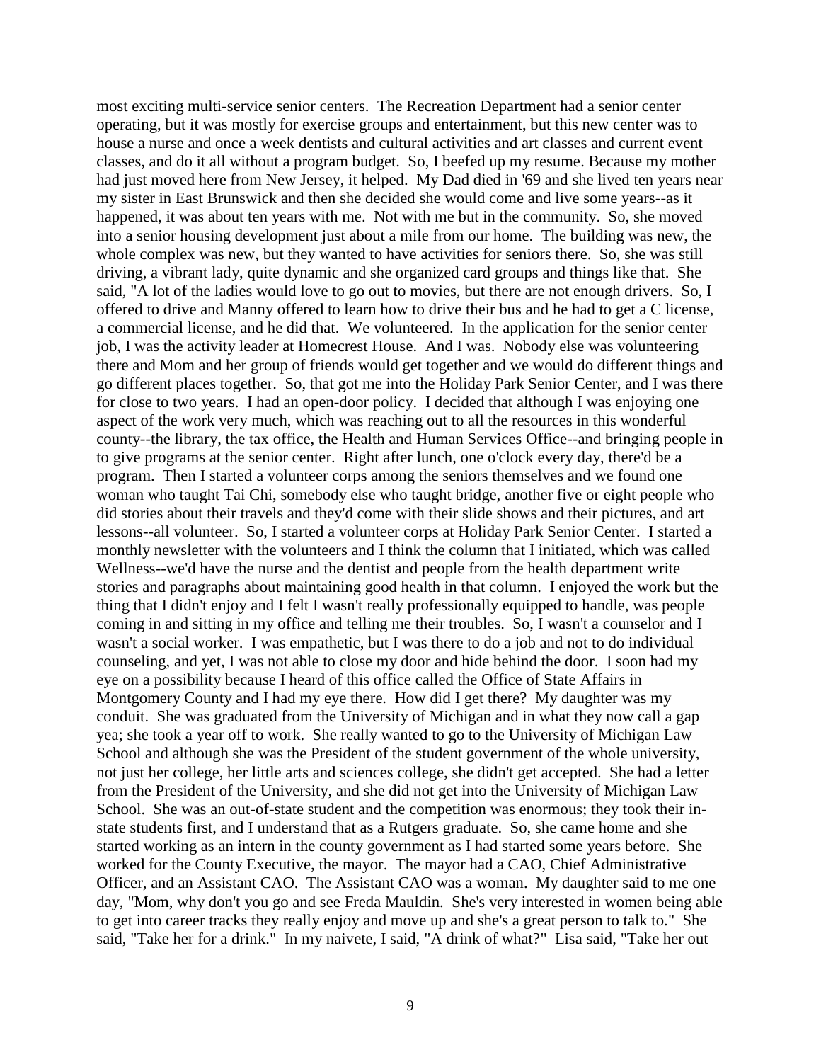most exciting multi-service senior centers. The Recreation Department had a senior center operating, but it was mostly for exercise groups and entertainment, but this new center was to house a nurse and once a week dentists and cultural activities and art classes and current event classes, and do it all without a program budget. So, I beefed up my resume. Because my mother had just moved here from New Jersey, it helped. My Dad died in '69 and she lived ten years near my sister in East Brunswick and then she decided she would come and live some years--as it happened, it was about ten years with me. Not with me but in the community. So, she moved into a senior housing development just about a mile from our home. The building was new, the whole complex was new, but they wanted to have activities for seniors there. So, she was still driving, a vibrant lady, quite dynamic and she organized card groups and things like that. She said, "A lot of the ladies would love to go out to movies, but there are not enough drivers. So, I offered to drive and Manny offered to learn how to drive their bus and he had to get a C license, a commercial license, and he did that. We volunteered. In the application for the senior center job, I was the activity leader at Homecrest House. And I was. Nobody else was volunteering there and Mom and her group of friends would get together and we would do different things and go different places together. So, that got me into the Holiday Park Senior Center, and I was there for close to two years. I had an open-door policy. I decided that although I was enjoying one aspect of the work very much, which was reaching out to all the resources in this wonderful county--the library, the tax office, the Health and Human Services Office--and bringing people in to give programs at the senior center. Right after lunch, one o'clock every day, there'd be a program. Then I started a volunteer corps among the seniors themselves and we found one woman who taught Tai Chi, somebody else who taught bridge, another five or eight people who did stories about their travels and they'd come with their slide shows and their pictures, and art lessons--all volunteer. So, I started a volunteer corps at Holiday Park Senior Center. I started a monthly newsletter with the volunteers and I think the column that I initiated, which was called Wellness--we'd have the nurse and the dentist and people from the health department write stories and paragraphs about maintaining good health in that column. I enjoyed the work but the thing that I didn't enjoy and I felt I wasn't really professionally equipped to handle, was people coming in and sitting in my office and telling me their troubles. So, I wasn't a counselor and I wasn't a social worker. I was empathetic, but I was there to do a job and not to do individual counseling, and yet, I was not able to close my door and hide behind the door. I soon had my eye on a possibility because I heard of this office called the Office of State Affairs in Montgomery County and I had my eye there. How did I get there? My daughter was my conduit. She was graduated from the University of Michigan and in what they now call a gap yea; she took a year off to work. She really wanted to go to the University of Michigan Law School and although she was the President of the student government of the whole university, not just her college, her little arts and sciences college, she didn't get accepted. She had a letter from the President of the University, and she did not get into the University of Michigan Law School. She was an out-of-state student and the competition was enormous; they took their instate students first, and I understand that as a Rutgers graduate. So, she came home and she started working as an intern in the county government as I had started some years before. She worked for the County Executive, the mayor. The mayor had a CAO, Chief Administrative Officer, and an Assistant CAO. The Assistant CAO was a woman. My daughter said to me one day, "Mom, why don't you go and see Freda Mauldin. She's very interested in women being able to get into career tracks they really enjoy and move up and she's a great person to talk to." She said, "Take her for a drink." In my naivete, I said, "A drink of what?" Lisa said, "Take her out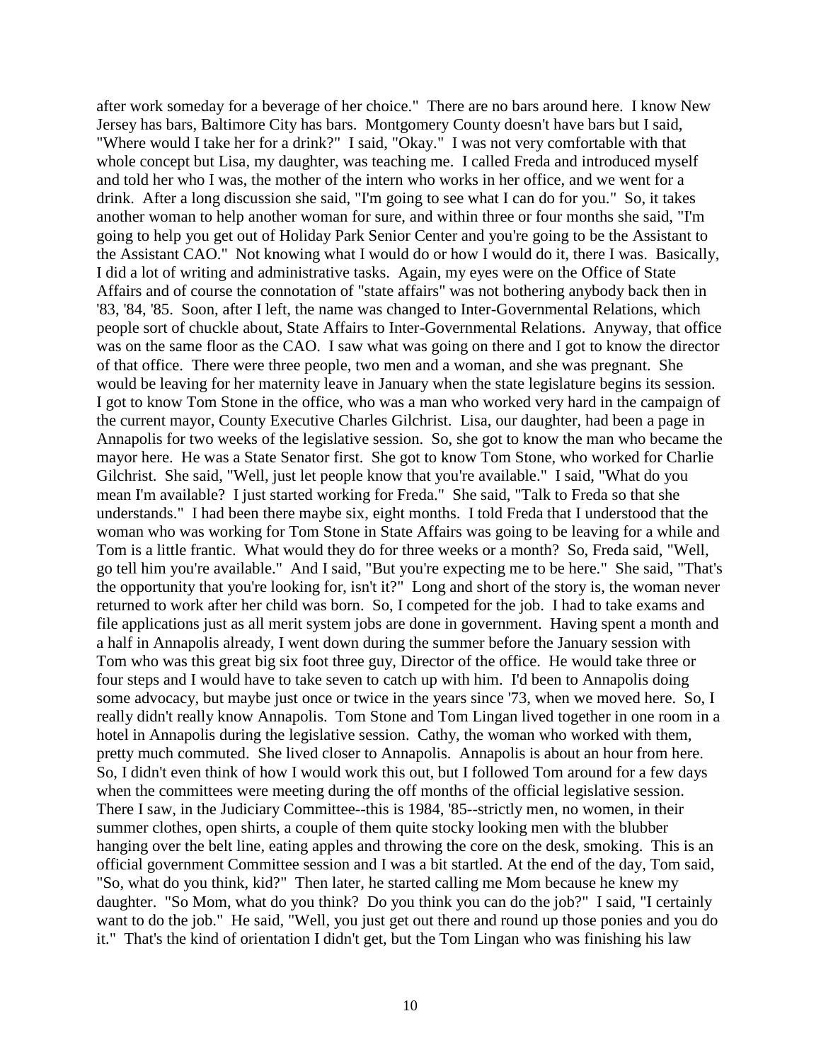after work someday for a beverage of her choice." There are no bars around here. I know New Jersey has bars, Baltimore City has bars. Montgomery County doesn't have bars but I said, "Where would I take her for a drink?" I said, "Okay." I was not very comfortable with that whole concept but Lisa, my daughter, was teaching me. I called Freda and introduced myself and told her who I was, the mother of the intern who works in her office, and we went for a drink. After a long discussion she said, "I'm going to see what I can do for you." So, it takes another woman to help another woman for sure, and within three or four months she said, "I'm going to help you get out of Holiday Park Senior Center and you're going to be the Assistant to the Assistant CAO." Not knowing what I would do or how I would do it, there I was. Basically, I did a lot of writing and administrative tasks. Again, my eyes were on the Office of State Affairs and of course the connotation of "state affairs" was not bothering anybody back then in '83, '84, '85. Soon, after I left, the name was changed to Inter-Governmental Relations, which people sort of chuckle about, State Affairs to Inter-Governmental Relations. Anyway, that office was on the same floor as the CAO. I saw what was going on there and I got to know the director of that office. There were three people, two men and a woman, and she was pregnant. She would be leaving for her maternity leave in January when the state legislature begins its session. I got to know Tom Stone in the office, who was a man who worked very hard in the campaign of the current mayor, County Executive Charles Gilchrist. Lisa, our daughter, had been a page in Annapolis for two weeks of the legislative session. So, she got to know the man who became the mayor here. He was a State Senator first. She got to know Tom Stone, who worked for Charlie Gilchrist. She said, "Well, just let people know that you're available." I said, "What do you mean I'm available? I just started working for Freda." She said, "Talk to Freda so that she understands." I had been there maybe six, eight months. I told Freda that I understood that the woman who was working for Tom Stone in State Affairs was going to be leaving for a while and Tom is a little frantic. What would they do for three weeks or a month? So, Freda said, "Well, go tell him you're available." And I said, "But you're expecting me to be here." She said, "That's the opportunity that you're looking for, isn't it?" Long and short of the story is, the woman never returned to work after her child was born. So, I competed for the job. I had to take exams and file applications just as all merit system jobs are done in government. Having spent a month and a half in Annapolis already, I went down during the summer before the January session with Tom who was this great big six foot three guy, Director of the office. He would take three or four steps and I would have to take seven to catch up with him. I'd been to Annapolis doing some advocacy, but maybe just once or twice in the years since '73, when we moved here. So, I really didn't really know Annapolis. Tom Stone and Tom Lingan lived together in one room in a hotel in Annapolis during the legislative session. Cathy, the woman who worked with them, pretty much commuted. She lived closer to Annapolis. Annapolis is about an hour from here. So, I didn't even think of how I would work this out, but I followed Tom around for a few days when the committees were meeting during the off months of the official legislative session. There I saw, in the Judiciary Committee--this is 1984, '85--strictly men, no women, in their summer clothes, open shirts, a couple of them quite stocky looking men with the blubber hanging over the belt line, eating apples and throwing the core on the desk, smoking. This is an official government Committee session and I was a bit startled. At the end of the day, Tom said, "So, what do you think, kid?" Then later, he started calling me Mom because he knew my daughter. "So Mom, what do you think? Do you think you can do the job?" I said, "I certainly want to do the job." He said, "Well, you just get out there and round up those ponies and you do it." That's the kind of orientation I didn't get, but the Tom Lingan who was finishing his law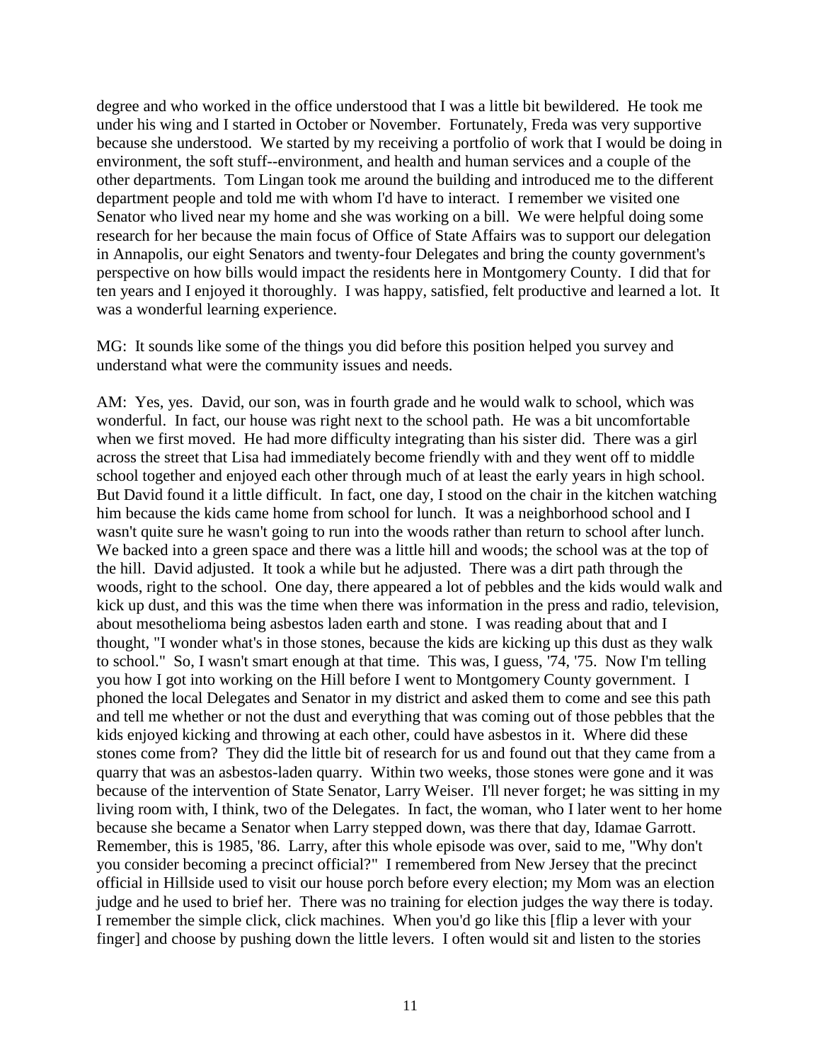degree and who worked in the office understood that I was a little bit bewildered. He took me under his wing and I started in October or November. Fortunately, Freda was very supportive because she understood. We started by my receiving a portfolio of work that I would be doing in environment, the soft stuff--environment, and health and human services and a couple of the other departments. Tom Lingan took me around the building and introduced me to the different department people and told me with whom I'd have to interact. I remember we visited one Senator who lived near my home and she was working on a bill. We were helpful doing some research for her because the main focus of Office of State Affairs was to support our delegation in Annapolis, our eight Senators and twenty-four Delegates and bring the county government's perspective on how bills would impact the residents here in Montgomery County. I did that for ten years and I enjoyed it thoroughly. I was happy, satisfied, felt productive and learned a lot. It was a wonderful learning experience.

MG: It sounds like some of the things you did before this position helped you survey and understand what were the community issues and needs.

AM: Yes, yes. David, our son, was in fourth grade and he would walk to school, which was wonderful. In fact, our house was right next to the school path. He was a bit uncomfortable when we first moved. He had more difficulty integrating than his sister did. There was a girl across the street that Lisa had immediately become friendly with and they went off to middle school together and enjoyed each other through much of at least the early years in high school. But David found it a little difficult. In fact, one day, I stood on the chair in the kitchen watching him because the kids came home from school for lunch. It was a neighborhood school and I wasn't quite sure he wasn't going to run into the woods rather than return to school after lunch. We backed into a green space and there was a little hill and woods; the school was at the top of the hill. David adjusted. It took a while but he adjusted. There was a dirt path through the woods, right to the school. One day, there appeared a lot of pebbles and the kids would walk and kick up dust, and this was the time when there was information in the press and radio, television, about mesothelioma being asbestos laden earth and stone. I was reading about that and I thought, "I wonder what's in those stones, because the kids are kicking up this dust as they walk to school." So, I wasn't smart enough at that time. This was, I guess, '74, '75. Now I'm telling you how I got into working on the Hill before I went to Montgomery County government. I phoned the local Delegates and Senator in my district and asked them to come and see this path and tell me whether or not the dust and everything that was coming out of those pebbles that the kids enjoyed kicking and throwing at each other, could have asbestos in it. Where did these stones come from? They did the little bit of research for us and found out that they came from a quarry that was an asbestos-laden quarry. Within two weeks, those stones were gone and it was because of the intervention of State Senator, Larry Weiser. I'll never forget; he was sitting in my living room with, I think, two of the Delegates. In fact, the woman, who I later went to her home because she became a Senator when Larry stepped down, was there that day, Idamae Garrott. Remember, this is 1985, '86. Larry, after this whole episode was over, said to me, "Why don't you consider becoming a precinct official?" I remembered from New Jersey that the precinct official in Hillside used to visit our house porch before every election; my Mom was an election judge and he used to brief her. There was no training for election judges the way there is today. I remember the simple click, click machines. When you'd go like this [flip a lever with your finger] and choose by pushing down the little levers. I often would sit and listen to the stories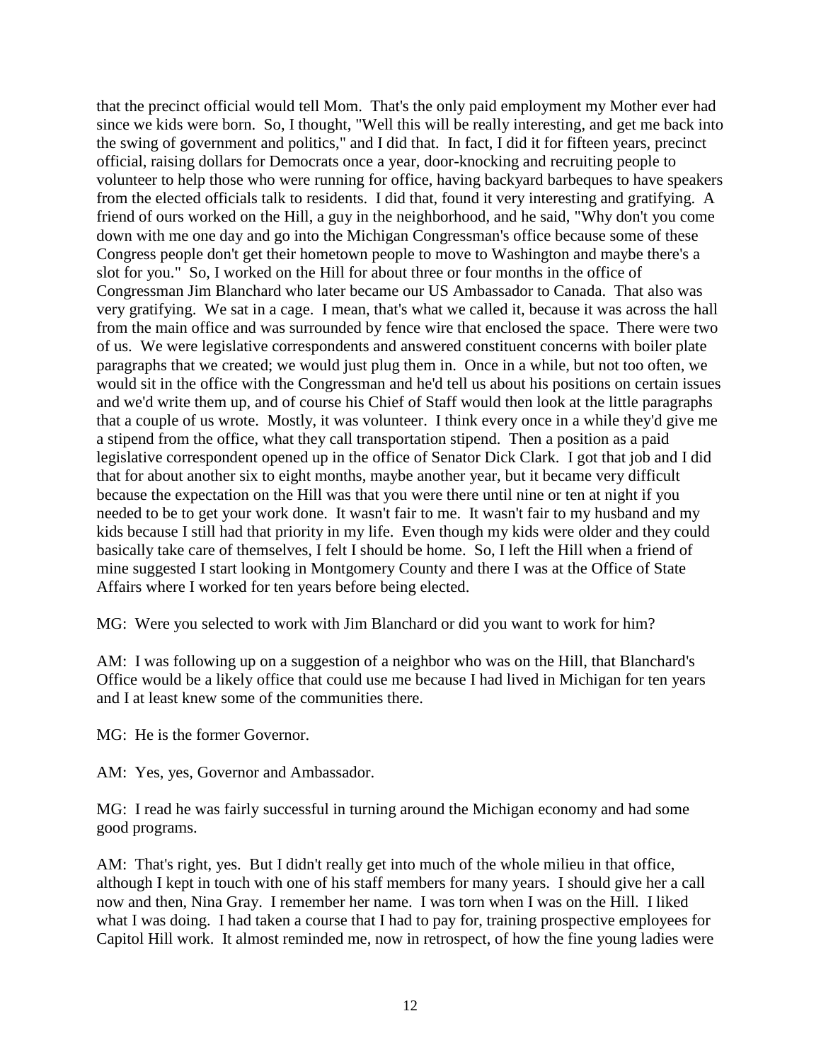that the precinct official would tell Mom. That's the only paid employment my Mother ever had since we kids were born. So, I thought, "Well this will be really interesting, and get me back into the swing of government and politics," and I did that. In fact, I did it for fifteen years, precinct official, raising dollars for Democrats once a year, door-knocking and recruiting people to volunteer to help those who were running for office, having backyard barbeques to have speakers from the elected officials talk to residents. I did that, found it very interesting and gratifying. A friend of ours worked on the Hill, a guy in the neighborhood, and he said, "Why don't you come down with me one day and go into the Michigan Congressman's office because some of these Congress people don't get their hometown people to move to Washington and maybe there's a slot for you." So, I worked on the Hill for about three or four months in the office of Congressman Jim Blanchard who later became our US Ambassador to Canada. That also was very gratifying. We sat in a cage. I mean, that's what we called it, because it was across the hall from the main office and was surrounded by fence wire that enclosed the space. There were two of us. We were legislative correspondents and answered constituent concerns with boiler plate paragraphs that we created; we would just plug them in. Once in a while, but not too often, we would sit in the office with the Congressman and he'd tell us about his positions on certain issues and we'd write them up, and of course his Chief of Staff would then look at the little paragraphs that a couple of us wrote. Mostly, it was volunteer. I think every once in a while they'd give me a stipend from the office, what they call transportation stipend. Then a position as a paid legislative correspondent opened up in the office of Senator Dick Clark. I got that job and I did that for about another six to eight months, maybe another year, but it became very difficult because the expectation on the Hill was that you were there until nine or ten at night if you needed to be to get your work done. It wasn't fair to me. It wasn't fair to my husband and my kids because I still had that priority in my life. Even though my kids were older and they could basically take care of themselves, I felt I should be home. So, I left the Hill when a friend of mine suggested I start looking in Montgomery County and there I was at the Office of State Affairs where I worked for ten years before being elected.

MG: Were you selected to work with Jim Blanchard or did you want to work for him?

AM: I was following up on a suggestion of a neighbor who was on the Hill, that Blanchard's Office would be a likely office that could use me because I had lived in Michigan for ten years and I at least knew some of the communities there.

MG: He is the former Governor.

AM: Yes, yes, Governor and Ambassador.

MG: I read he was fairly successful in turning around the Michigan economy and had some good programs.

AM: That's right, yes. But I didn't really get into much of the whole milieu in that office, although I kept in touch with one of his staff members for many years. I should give her a call now and then, Nina Gray. I remember her name. I was torn when I was on the Hill. I liked what I was doing. I had taken a course that I had to pay for, training prospective employees for Capitol Hill work. It almost reminded me, now in retrospect, of how the fine young ladies were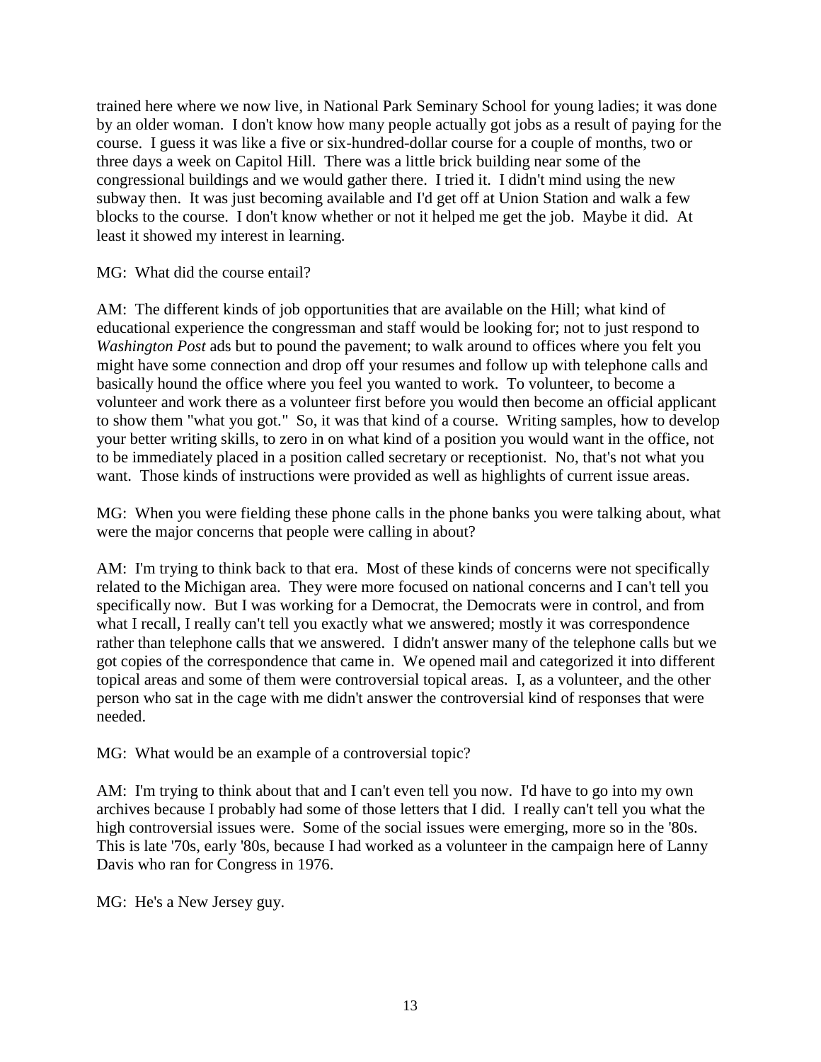trained here where we now live, in National Park Seminary School for young ladies; it was done by an older woman. I don't know how many people actually got jobs as a result of paying for the course. I guess it was like a five or six-hundred-dollar course for a couple of months, two or three days a week on Capitol Hill. There was a little brick building near some of the congressional buildings and we would gather there. I tried it. I didn't mind using the new subway then. It was just becoming available and I'd get off at Union Station and walk a few blocks to the course. I don't know whether or not it helped me get the job. Maybe it did. At least it showed my interest in learning.

MG: What did the course entail?

AM: The different kinds of job opportunities that are available on the Hill; what kind of educational experience the congressman and staff would be looking for; not to just respond to *Washington Post* ads but to pound the pavement; to walk around to offices where you felt you might have some connection and drop off your resumes and follow up with telephone calls and basically hound the office where you feel you wanted to work. To volunteer, to become a volunteer and work there as a volunteer first before you would then become an official applicant to show them "what you got." So, it was that kind of a course. Writing samples, how to develop your better writing skills, to zero in on what kind of a position you would want in the office, not to be immediately placed in a position called secretary or receptionist. No, that's not what you want. Those kinds of instructions were provided as well as highlights of current issue areas.

MG: When you were fielding these phone calls in the phone banks you were talking about, what were the major concerns that people were calling in about?

AM: I'm trying to think back to that era. Most of these kinds of concerns were not specifically related to the Michigan area. They were more focused on national concerns and I can't tell you specifically now. But I was working for a Democrat, the Democrats were in control, and from what I recall, I really can't tell you exactly what we answered; mostly it was correspondence rather than telephone calls that we answered. I didn't answer many of the telephone calls but we got copies of the correspondence that came in. We opened mail and categorized it into different topical areas and some of them were controversial topical areas. I, as a volunteer, and the other person who sat in the cage with me didn't answer the controversial kind of responses that were needed.

MG: What would be an example of a controversial topic?

AM: I'm trying to think about that and I can't even tell you now. I'd have to go into my own archives because I probably had some of those letters that I did. I really can't tell you what the high controversial issues were. Some of the social issues were emerging, more so in the '80s. This is late '70s, early '80s, because I had worked as a volunteer in the campaign here of Lanny Davis who ran for Congress in 1976.

MG: He's a New Jersey guy.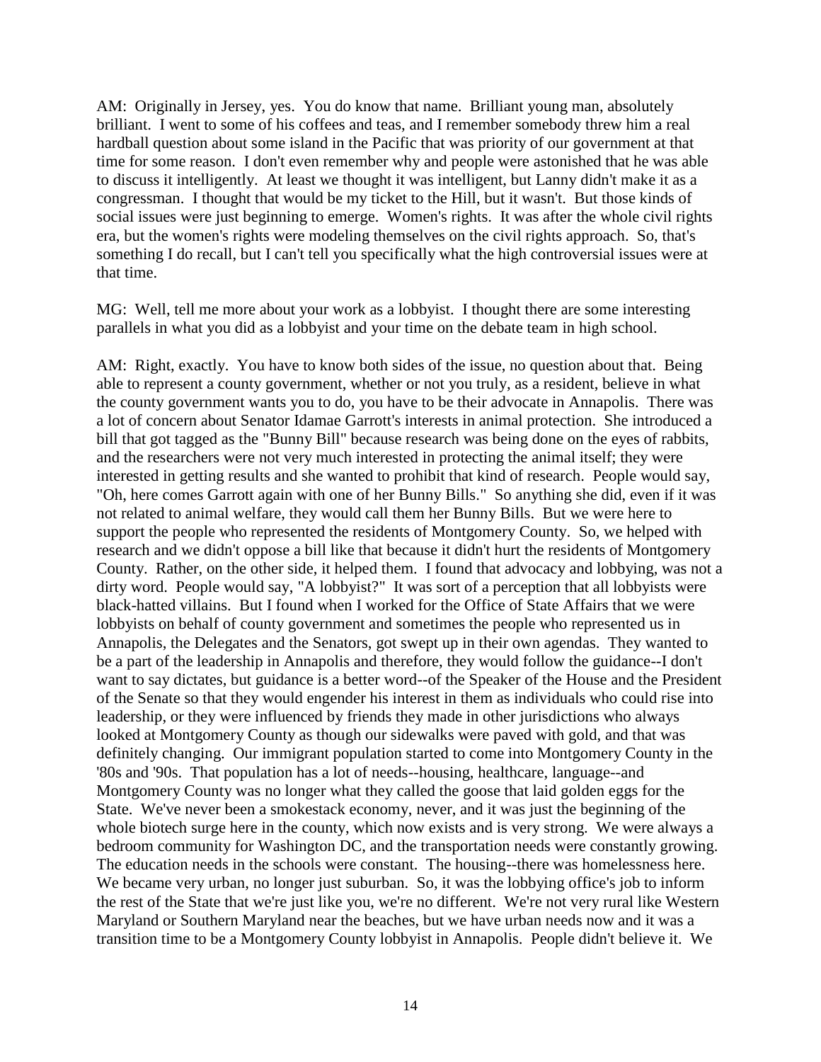AM: Originally in Jersey, yes. You do know that name. Brilliant young man, absolutely brilliant. I went to some of his coffees and teas, and I remember somebody threw him a real hardball question about some island in the Pacific that was priority of our government at that time for some reason. I don't even remember why and people were astonished that he was able to discuss it intelligently. At least we thought it was intelligent, but Lanny didn't make it as a congressman. I thought that would be my ticket to the Hill, but it wasn't. But those kinds of social issues were just beginning to emerge. Women's rights. It was after the whole civil rights era, but the women's rights were modeling themselves on the civil rights approach. So, that's something I do recall, but I can't tell you specifically what the high controversial issues were at that time.

MG: Well, tell me more about your work as a lobbyist. I thought there are some interesting parallels in what you did as a lobbyist and your time on the debate team in high school.

AM: Right, exactly. You have to know both sides of the issue, no question about that. Being able to represent a county government, whether or not you truly, as a resident, believe in what the county government wants you to do, you have to be their advocate in Annapolis. There was a lot of concern about Senator Idamae Garrott's interests in animal protection. She introduced a bill that got tagged as the "Bunny Bill" because research was being done on the eyes of rabbits, and the researchers were not very much interested in protecting the animal itself; they were interested in getting results and she wanted to prohibit that kind of research. People would say, "Oh, here comes Garrott again with one of her Bunny Bills." So anything she did, even if it was not related to animal welfare, they would call them her Bunny Bills. But we were here to support the people who represented the residents of Montgomery County. So, we helped with research and we didn't oppose a bill like that because it didn't hurt the residents of Montgomery County. Rather, on the other side, it helped them. I found that advocacy and lobbying, was not a dirty word. People would say, "A lobbyist?" It was sort of a perception that all lobbyists were black-hatted villains. But I found when I worked for the Office of State Affairs that we were lobbyists on behalf of county government and sometimes the people who represented us in Annapolis, the Delegates and the Senators, got swept up in their own agendas. They wanted to be a part of the leadership in Annapolis and therefore, they would follow the guidance--I don't want to say dictates, but guidance is a better word--of the Speaker of the House and the President of the Senate so that they would engender his interest in them as individuals who could rise into leadership, or they were influenced by friends they made in other jurisdictions who always looked at Montgomery County as though our sidewalks were paved with gold, and that was definitely changing. Our immigrant population started to come into Montgomery County in the '80s and '90s. That population has a lot of needs--housing, healthcare, language--and Montgomery County was no longer what they called the goose that laid golden eggs for the State. We've never been a smokestack economy, never, and it was just the beginning of the whole biotech surge here in the county, which now exists and is very strong. We were always a bedroom community for Washington DC, and the transportation needs were constantly growing. The education needs in the schools were constant. The housing--there was homelessness here. We became very urban, no longer just suburban. So, it was the lobbying office's job to inform the rest of the State that we're just like you, we're no different. We're not very rural like Western Maryland or Southern Maryland near the beaches, but we have urban needs now and it was a transition time to be a Montgomery County lobbyist in Annapolis. People didn't believe it. We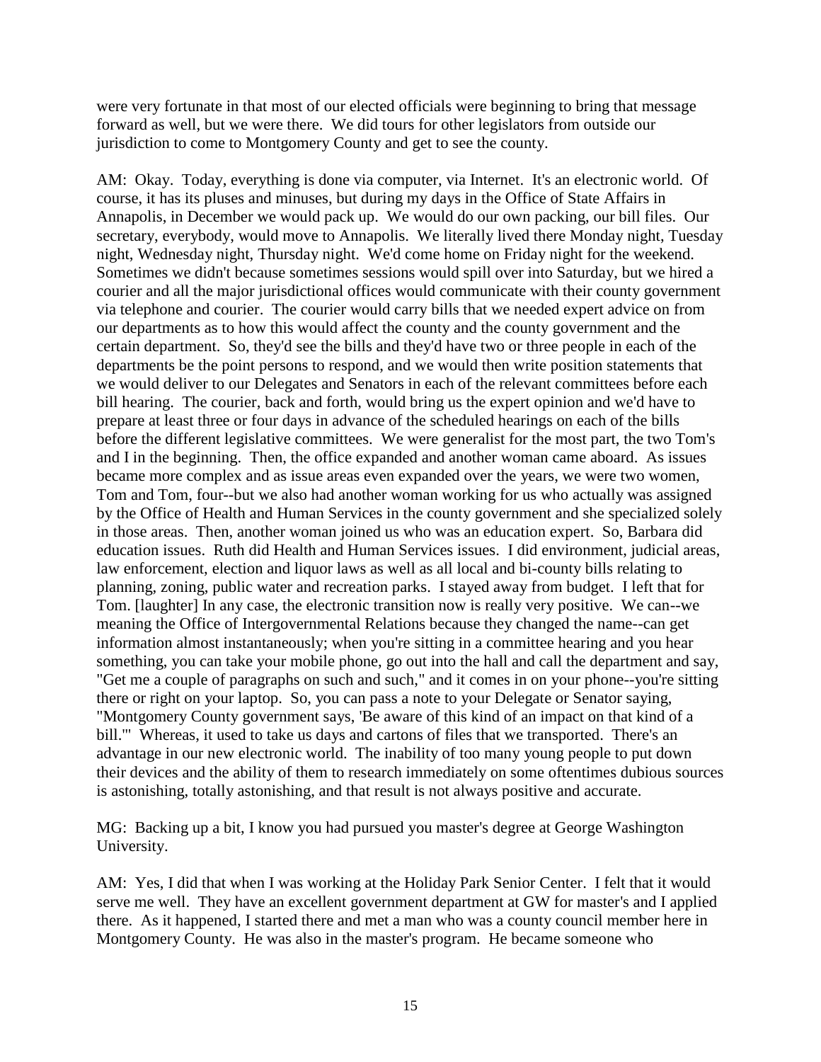were very fortunate in that most of our elected officials were beginning to bring that message forward as well, but we were there. We did tours for other legislators from outside our jurisdiction to come to Montgomery County and get to see the county.

AM: Okay. Today, everything is done via computer, via Internet. It's an electronic world. Of course, it has its pluses and minuses, but during my days in the Office of State Affairs in Annapolis, in December we would pack up. We would do our own packing, our bill files. Our secretary, everybody, would move to Annapolis. We literally lived there Monday night, Tuesday night, Wednesday night, Thursday night. We'd come home on Friday night for the weekend. Sometimes we didn't because sometimes sessions would spill over into Saturday, but we hired a courier and all the major jurisdictional offices would communicate with their county government via telephone and courier. The courier would carry bills that we needed expert advice on from our departments as to how this would affect the county and the county government and the certain department. So, they'd see the bills and they'd have two or three people in each of the departments be the point persons to respond, and we would then write position statements that we would deliver to our Delegates and Senators in each of the relevant committees before each bill hearing. The courier, back and forth, would bring us the expert opinion and we'd have to prepare at least three or four days in advance of the scheduled hearings on each of the bills before the different legislative committees. We were generalist for the most part, the two Tom's and I in the beginning. Then, the office expanded and another woman came aboard. As issues became more complex and as issue areas even expanded over the years, we were two women, Tom and Tom, four--but we also had another woman working for us who actually was assigned by the Office of Health and Human Services in the county government and she specialized solely in those areas. Then, another woman joined us who was an education expert. So, Barbara did education issues. Ruth did Health and Human Services issues. I did environment, judicial areas, law enforcement, election and liquor laws as well as all local and bi-county bills relating to planning, zoning, public water and recreation parks. I stayed away from budget. I left that for Tom. [laughter] In any case, the electronic transition now is really very positive. We can--we meaning the Office of Intergovernmental Relations because they changed the name--can get information almost instantaneously; when you're sitting in a committee hearing and you hear something, you can take your mobile phone, go out into the hall and call the department and say, "Get me a couple of paragraphs on such and such," and it comes in on your phone--you're sitting there or right on your laptop. So, you can pass a note to your Delegate or Senator saying, "Montgomery County government says, 'Be aware of this kind of an impact on that kind of a bill.'" Whereas, it used to take us days and cartons of files that we transported. There's an advantage in our new electronic world. The inability of too many young people to put down their devices and the ability of them to research immediately on some oftentimes dubious sources is astonishing, totally astonishing, and that result is not always positive and accurate.

MG: Backing up a bit, I know you had pursued you master's degree at George Washington University.

AM: Yes, I did that when I was working at the Holiday Park Senior Center. I felt that it would serve me well. They have an excellent government department at GW for master's and I applied there. As it happened, I started there and met a man who was a county council member here in Montgomery County. He was also in the master's program. He became someone who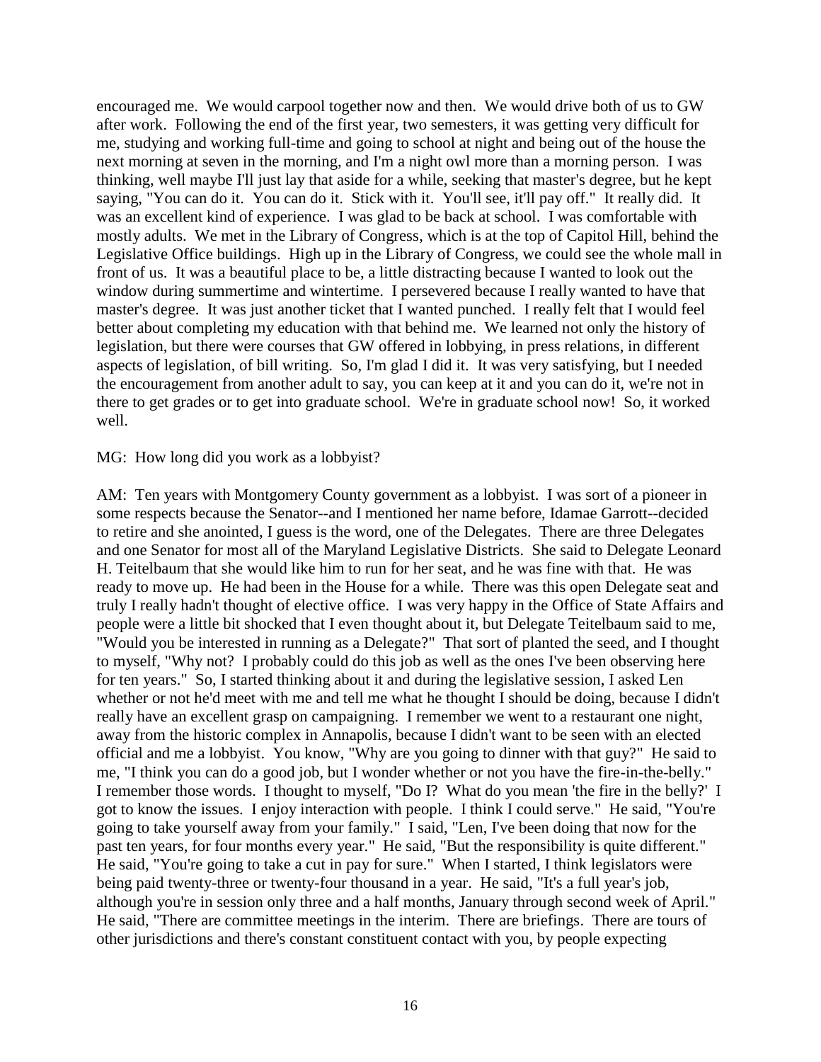encouraged me. We would carpool together now and then. We would drive both of us to GW after work. Following the end of the first year, two semesters, it was getting very difficult for me, studying and working full-time and going to school at night and being out of the house the next morning at seven in the morning, and I'm a night owl more than a morning person. I was thinking, well maybe I'll just lay that aside for a while, seeking that master's degree, but he kept saying, "You can do it. You can do it. Stick with it. You'll see, it'll pay off." It really did. It was an excellent kind of experience. I was glad to be back at school. I was comfortable with mostly adults. We met in the Library of Congress, which is at the top of Capitol Hill, behind the Legislative Office buildings. High up in the Library of Congress, we could see the whole mall in front of us. It was a beautiful place to be, a little distracting because I wanted to look out the window during summertime and wintertime. I persevered because I really wanted to have that master's degree. It was just another ticket that I wanted punched. I really felt that I would feel better about completing my education with that behind me. We learned not only the history of legislation, but there were courses that GW offered in lobbying, in press relations, in different aspects of legislation, of bill writing. So, I'm glad I did it. It was very satisfying, but I needed the encouragement from another adult to say, you can keep at it and you can do it, we're not in there to get grades or to get into graduate school. We're in graduate school now! So, it worked well.

## MG: How long did you work as a lobbyist?

AM: Ten years with Montgomery County government as a lobbyist. I was sort of a pioneer in some respects because the Senator--and I mentioned her name before, Idamae Garrott--decided to retire and she anointed, I guess is the word, one of the Delegates. There are three Delegates and one Senator for most all of the Maryland Legislative Districts. She said to Delegate Leonard H. Teitelbaum that she would like him to run for her seat, and he was fine with that. He was ready to move up. He had been in the House for a while. There was this open Delegate seat and truly I really hadn't thought of elective office. I was very happy in the Office of State Affairs and people were a little bit shocked that I even thought about it, but Delegate Teitelbaum said to me, "Would you be interested in running as a Delegate?" That sort of planted the seed, and I thought to myself, "Why not? I probably could do this job as well as the ones I've been observing here for ten years." So, I started thinking about it and during the legislative session, I asked Len whether or not he'd meet with me and tell me what he thought I should be doing, because I didn't really have an excellent grasp on campaigning. I remember we went to a restaurant one night, away from the historic complex in Annapolis, because I didn't want to be seen with an elected official and me a lobbyist. You know, "Why are you going to dinner with that guy?" He said to me, "I think you can do a good job, but I wonder whether or not you have the fire-in-the-belly." I remember those words. I thought to myself, "Do I? What do you mean 'the fire in the belly?' I got to know the issues. I enjoy interaction with people. I think I could serve." He said, "You're going to take yourself away from your family." I said, "Len, I've been doing that now for the past ten years, for four months every year." He said, "But the responsibility is quite different." He said, "You're going to take a cut in pay for sure." When I started, I think legislators were being paid twenty-three or twenty-four thousand in a year. He said, "It's a full year's job, although you're in session only three and a half months, January through second week of April." He said, "There are committee meetings in the interim. There are briefings. There are tours of other jurisdictions and there's constant constituent contact with you, by people expecting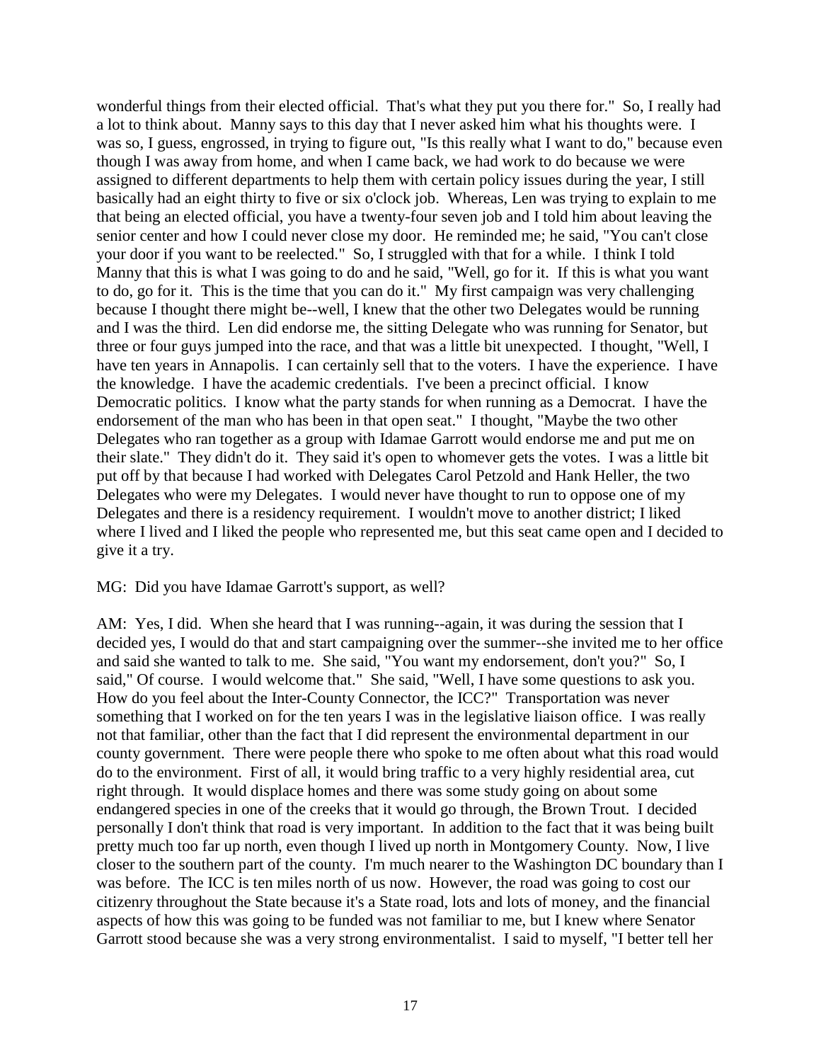wonderful things from their elected official. That's what they put you there for." So, I really had a lot to think about. Manny says to this day that I never asked him what his thoughts were. I was so, I guess, engrossed, in trying to figure out, "Is this really what I want to do," because even though I was away from home, and when I came back, we had work to do because we were assigned to different departments to help them with certain policy issues during the year, I still basically had an eight thirty to five or six o'clock job. Whereas, Len was trying to explain to me that being an elected official, you have a twenty-four seven job and I told him about leaving the senior center and how I could never close my door. He reminded me; he said, "You can't close your door if you want to be reelected." So, I struggled with that for a while. I think I told Manny that this is what I was going to do and he said, "Well, go for it. If this is what you want to do, go for it. This is the time that you can do it." My first campaign was very challenging because I thought there might be--well, I knew that the other two Delegates would be running and I was the third. Len did endorse me, the sitting Delegate who was running for Senator, but three or four guys jumped into the race, and that was a little bit unexpected. I thought, "Well, I have ten years in Annapolis. I can certainly sell that to the voters. I have the experience. I have the knowledge. I have the academic credentials. I've been a precinct official. I know Democratic politics. I know what the party stands for when running as a Democrat. I have the endorsement of the man who has been in that open seat." I thought, "Maybe the two other Delegates who ran together as a group with Idamae Garrott would endorse me and put me on their slate." They didn't do it. They said it's open to whomever gets the votes. I was a little bit put off by that because I had worked with Delegates Carol Petzold and Hank Heller, the two Delegates who were my Delegates. I would never have thought to run to oppose one of my Delegates and there is a residency requirement. I wouldn't move to another district; I liked where I lived and I liked the people who represented me, but this seat came open and I decided to give it a try.

## MG: Did you have Idamae Garrott's support, as well?

AM: Yes, I did. When she heard that I was running--again, it was during the session that I decided yes, I would do that and start campaigning over the summer--she invited me to her office and said she wanted to talk to me. She said, "You want my endorsement, don't you?" So, I said," Of course. I would welcome that." She said, "Well, I have some questions to ask you. How do you feel about the Inter-County Connector, the ICC?" Transportation was never something that I worked on for the ten years I was in the legislative liaison office. I was really not that familiar, other than the fact that I did represent the environmental department in our county government. There were people there who spoke to me often about what this road would do to the environment. First of all, it would bring traffic to a very highly residential area, cut right through. It would displace homes and there was some study going on about some endangered species in one of the creeks that it would go through, the Brown Trout. I decided personally I don't think that road is very important. In addition to the fact that it was being built pretty much too far up north, even though I lived up north in Montgomery County. Now, I live closer to the southern part of the county. I'm much nearer to the Washington DC boundary than I was before. The ICC is ten miles north of us now. However, the road was going to cost our citizenry throughout the State because it's a State road, lots and lots of money, and the financial aspects of how this was going to be funded was not familiar to me, but I knew where Senator Garrott stood because she was a very strong environmentalist. I said to myself, "I better tell her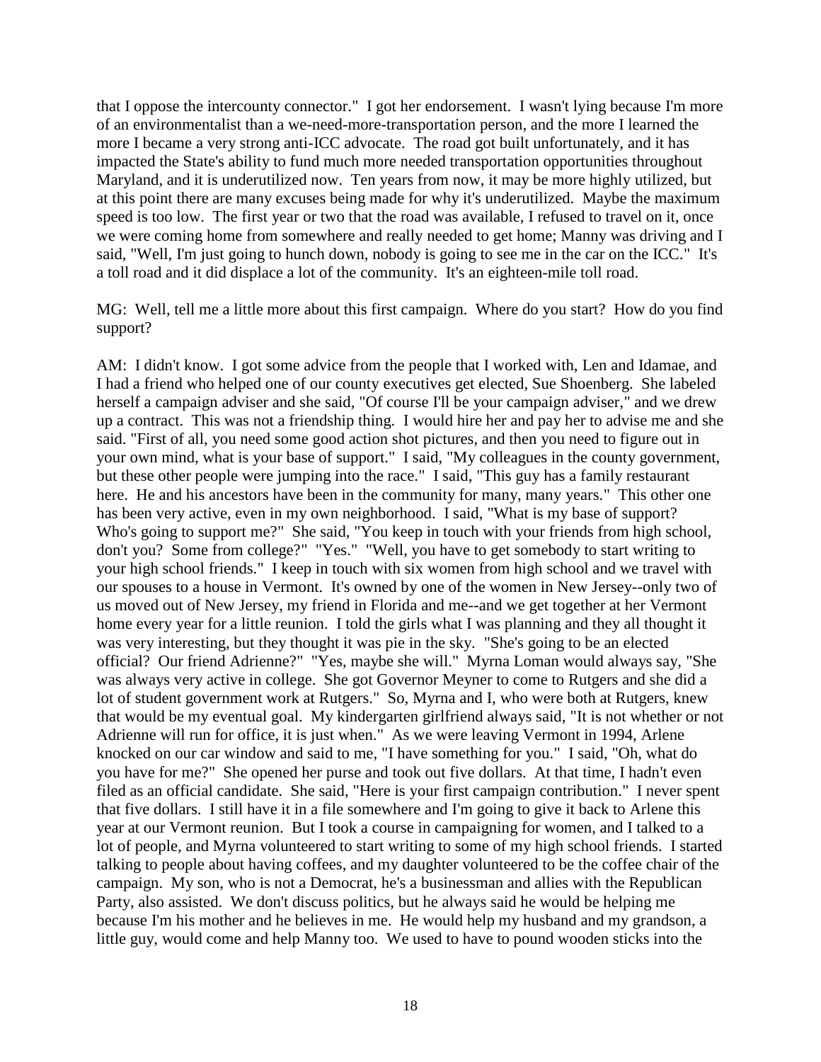that I oppose the intercounty connector." I got her endorsement. I wasn't lying because I'm more of an environmentalist than a we-need-more-transportation person, and the more I learned the more I became a very strong anti-ICC advocate. The road got built unfortunately, and it has impacted the State's ability to fund much more needed transportation opportunities throughout Maryland, and it is underutilized now. Ten years from now, it may be more highly utilized, but at this point there are many excuses being made for why it's underutilized. Maybe the maximum speed is too low. The first year or two that the road was available, I refused to travel on it, once we were coming home from somewhere and really needed to get home; Manny was driving and I said, "Well, I'm just going to hunch down, nobody is going to see me in the car on the ICC." It's a toll road and it did displace a lot of the community. It's an eighteen-mile toll road.

MG: Well, tell me a little more about this first campaign. Where do you start? How do you find support?

AM: I didn't know. I got some advice from the people that I worked with, Len and Idamae, and I had a friend who helped one of our county executives get elected, Sue Shoenberg. She labeled herself a campaign adviser and she said, "Of course I'll be your campaign adviser," and we drew up a contract. This was not a friendship thing. I would hire her and pay her to advise me and she said. "First of all, you need some good action shot pictures, and then you need to figure out in your own mind, what is your base of support." I said, "My colleagues in the county government, but these other people were jumping into the race." I said, "This guy has a family restaurant here. He and his ancestors have been in the community for many, many years." This other one has been very active, even in my own neighborhood. I said, "What is my base of support? Who's going to support me?" She said, "You keep in touch with your friends from high school, don't you? Some from college?" "Yes." "Well, you have to get somebody to start writing to your high school friends." I keep in touch with six women from high school and we travel with our spouses to a house in Vermont. It's owned by one of the women in New Jersey--only two of us moved out of New Jersey, my friend in Florida and me--and we get together at her Vermont home every year for a little reunion. I told the girls what I was planning and they all thought it was very interesting, but they thought it was pie in the sky. "She's going to be an elected official? Our friend Adrienne?" "Yes, maybe she will." Myrna Loman would always say, "She was always very active in college. She got Governor Meyner to come to Rutgers and she did a lot of student government work at Rutgers." So, Myrna and I, who were both at Rutgers, knew that would be my eventual goal. My kindergarten girlfriend always said, "It is not whether or not Adrienne will run for office, it is just when." As we were leaving Vermont in 1994, Arlene knocked on our car window and said to me, "I have something for you." I said, "Oh, what do you have for me?" She opened her purse and took out five dollars. At that time, I hadn't even filed as an official candidate. She said, "Here is your first campaign contribution." I never spent that five dollars. I still have it in a file somewhere and I'm going to give it back to Arlene this year at our Vermont reunion. But I took a course in campaigning for women, and I talked to a lot of people, and Myrna volunteered to start writing to some of my high school friends. I started talking to people about having coffees, and my daughter volunteered to be the coffee chair of the campaign. My son, who is not a Democrat, he's a businessman and allies with the Republican Party, also assisted. We don't discuss politics, but he always said he would be helping me because I'm his mother and he believes in me. He would help my husband and my grandson, a little guy, would come and help Manny too. We used to have to pound wooden sticks into the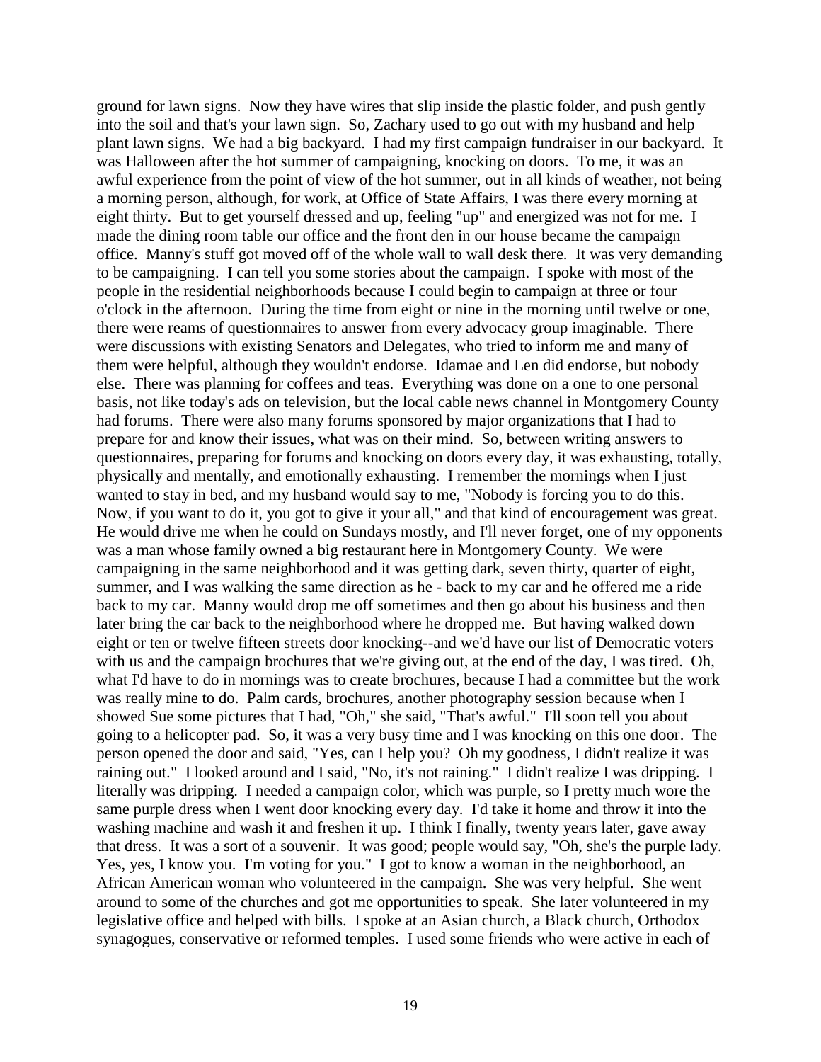ground for lawn signs. Now they have wires that slip inside the plastic folder, and push gently into the soil and that's your lawn sign. So, Zachary used to go out with my husband and help plant lawn signs. We had a big backyard. I had my first campaign fundraiser in our backyard. It was Halloween after the hot summer of campaigning, knocking on doors. To me, it was an awful experience from the point of view of the hot summer, out in all kinds of weather, not being a morning person, although, for work, at Office of State Affairs, I was there every morning at eight thirty. But to get yourself dressed and up, feeling "up" and energized was not for me. I made the dining room table our office and the front den in our house became the campaign office. Manny's stuff got moved off of the whole wall to wall desk there. It was very demanding to be campaigning. I can tell you some stories about the campaign. I spoke with most of the people in the residential neighborhoods because I could begin to campaign at three or four o'clock in the afternoon. During the time from eight or nine in the morning until twelve or one, there were reams of questionnaires to answer from every advocacy group imaginable. There were discussions with existing Senators and Delegates, who tried to inform me and many of them were helpful, although they wouldn't endorse. Idamae and Len did endorse, but nobody else. There was planning for coffees and teas. Everything was done on a one to one personal basis, not like today's ads on television, but the local cable news channel in Montgomery County had forums. There were also many forums sponsored by major organizations that I had to prepare for and know their issues, what was on their mind. So, between writing answers to questionnaires, preparing for forums and knocking on doors every day, it was exhausting, totally, physically and mentally, and emotionally exhausting. I remember the mornings when I just wanted to stay in bed, and my husband would say to me, "Nobody is forcing you to do this. Now, if you want to do it, you got to give it your all," and that kind of encouragement was great. He would drive me when he could on Sundays mostly, and I'll never forget, one of my opponents was a man whose family owned a big restaurant here in Montgomery County. We were campaigning in the same neighborhood and it was getting dark, seven thirty, quarter of eight, summer, and I was walking the same direction as he - back to my car and he offered me a ride back to my car. Manny would drop me off sometimes and then go about his business and then later bring the car back to the neighborhood where he dropped me. But having walked down eight or ten or twelve fifteen streets door knocking--and we'd have our list of Democratic voters with us and the campaign brochures that we're giving out, at the end of the day, I was tired. Oh, what I'd have to do in mornings was to create brochures, because I had a committee but the work was really mine to do. Palm cards, brochures, another photography session because when I showed Sue some pictures that I had, "Oh," she said, "That's awful." I'll soon tell you about going to a helicopter pad. So, it was a very busy time and I was knocking on this one door. The person opened the door and said, "Yes, can I help you? Oh my goodness, I didn't realize it was raining out." I looked around and I said, "No, it's not raining." I didn't realize I was dripping. I literally was dripping. I needed a campaign color, which was purple, so I pretty much wore the same purple dress when I went door knocking every day. I'd take it home and throw it into the washing machine and wash it and freshen it up. I think I finally, twenty years later, gave away that dress. It was a sort of a souvenir. It was good; people would say, "Oh, she's the purple lady. Yes, yes, I know you. I'm voting for you." I got to know a woman in the neighborhood, an African American woman who volunteered in the campaign. She was very helpful. She went around to some of the churches and got me opportunities to speak. She later volunteered in my legislative office and helped with bills. I spoke at an Asian church, a Black church, Orthodox synagogues, conservative or reformed temples. I used some friends who were active in each of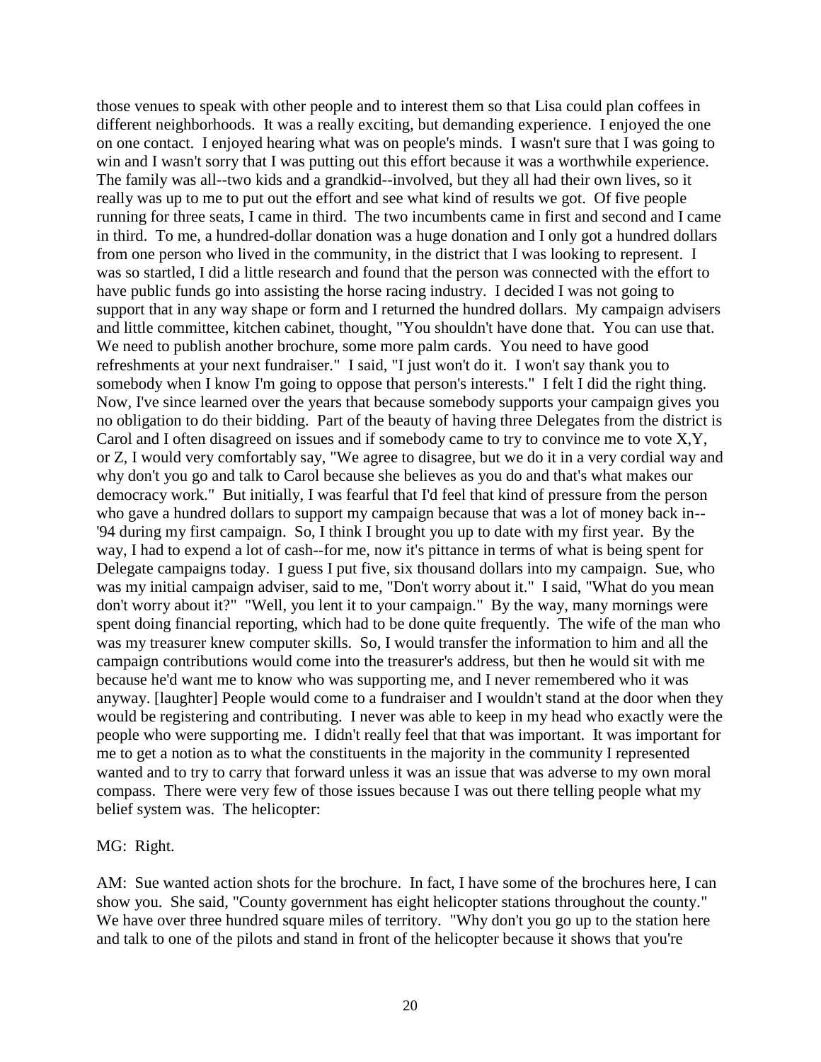those venues to speak with other people and to interest them so that Lisa could plan coffees in different neighborhoods. It was a really exciting, but demanding experience. I enjoyed the one on one contact. I enjoyed hearing what was on people's minds. I wasn't sure that I was going to win and I wasn't sorry that I was putting out this effort because it was a worthwhile experience. The family was all--two kids and a grandkid--involved, but they all had their own lives, so it really was up to me to put out the effort and see what kind of results we got. Of five people running for three seats, I came in third. The two incumbents came in first and second and I came in third. To me, a hundred-dollar donation was a huge donation and I only got a hundred dollars from one person who lived in the community, in the district that I was looking to represent. I was so startled, I did a little research and found that the person was connected with the effort to have public funds go into assisting the horse racing industry. I decided I was not going to support that in any way shape or form and I returned the hundred dollars. My campaign advisers and little committee, kitchen cabinet, thought, "You shouldn't have done that. You can use that. We need to publish another brochure, some more palm cards. You need to have good refreshments at your next fundraiser." I said, "I just won't do it. I won't say thank you to somebody when I know I'm going to oppose that person's interests." I felt I did the right thing. Now, I've since learned over the years that because somebody supports your campaign gives you no obligation to do their bidding. Part of the beauty of having three Delegates from the district is Carol and I often disagreed on issues and if somebody came to try to convince me to vote X,Y, or Z, I would very comfortably say, "We agree to disagree, but we do it in a very cordial way and why don't you go and talk to Carol because she believes as you do and that's what makes our democracy work." But initially, I was fearful that I'd feel that kind of pressure from the person who gave a hundred dollars to support my campaign because that was a lot of money back in--'94 during my first campaign. So, I think I brought you up to date with my first year. By the way, I had to expend a lot of cash--for me, now it's pittance in terms of what is being spent for Delegate campaigns today. I guess I put five, six thousand dollars into my campaign. Sue, who was my initial campaign adviser, said to me, "Don't worry about it." I said, "What do you mean don't worry about it?" "Well, you lent it to your campaign." By the way, many mornings were spent doing financial reporting, which had to be done quite frequently. The wife of the man who was my treasurer knew computer skills. So, I would transfer the information to him and all the campaign contributions would come into the treasurer's address, but then he would sit with me because he'd want me to know who was supporting me, and I never remembered who it was anyway. [laughter] People would come to a fundraiser and I wouldn't stand at the door when they would be registering and contributing. I never was able to keep in my head who exactly were the people who were supporting me. I didn't really feel that that was important. It was important for me to get a notion as to what the constituents in the majority in the community I represented wanted and to try to carry that forward unless it was an issue that was adverse to my own moral compass. There were very few of those issues because I was out there telling people what my belief system was. The helicopter:

MG: Right.

AM: Sue wanted action shots for the brochure. In fact, I have some of the brochures here, I can show you. She said, "County government has eight helicopter stations throughout the county." We have over three hundred square miles of territory. "Why don't you go up to the station here and talk to one of the pilots and stand in front of the helicopter because it shows that you're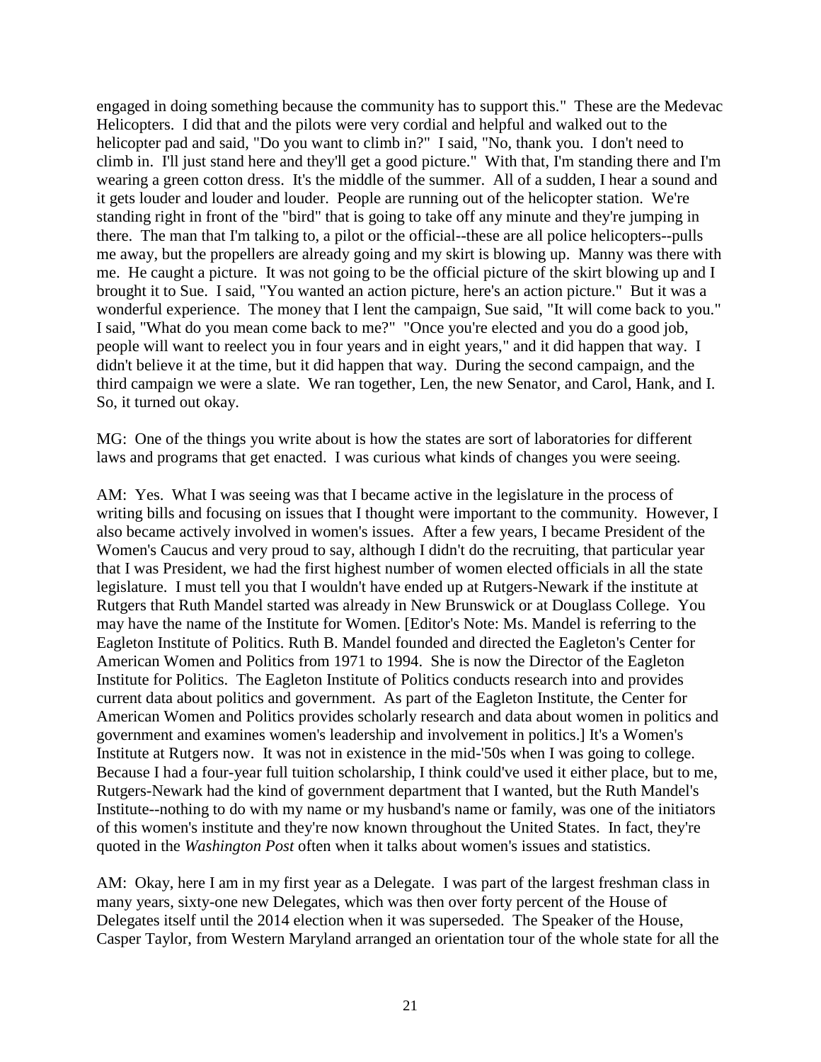engaged in doing something because the community has to support this." These are the Medevac Helicopters. I did that and the pilots were very cordial and helpful and walked out to the helicopter pad and said, "Do you want to climb in?" I said, "No, thank you. I don't need to climb in. I'll just stand here and they'll get a good picture." With that, I'm standing there and I'm wearing a green cotton dress. It's the middle of the summer. All of a sudden, I hear a sound and it gets louder and louder and louder. People are running out of the helicopter station. We're standing right in front of the "bird" that is going to take off any minute and they're jumping in there. The man that I'm talking to, a pilot or the official--these are all police helicopters--pulls me away, but the propellers are already going and my skirt is blowing up. Manny was there with me. He caught a picture. It was not going to be the official picture of the skirt blowing up and I brought it to Sue. I said, "You wanted an action picture, here's an action picture." But it was a wonderful experience. The money that I lent the campaign, Sue said, "It will come back to you." I said, "What do you mean come back to me?" "Once you're elected and you do a good job, people will want to reelect you in four years and in eight years," and it did happen that way. I didn't believe it at the time, but it did happen that way. During the second campaign, and the third campaign we were a slate. We ran together, Len, the new Senator, and Carol, Hank, and I. So, it turned out okay.

MG: One of the things you write about is how the states are sort of laboratories for different laws and programs that get enacted. I was curious what kinds of changes you were seeing.

AM: Yes. What I was seeing was that I became active in the legislature in the process of writing bills and focusing on issues that I thought were important to the community. However, I also became actively involved in women's issues. After a few years, I became President of the Women's Caucus and very proud to say, although I didn't do the recruiting, that particular year that I was President, we had the first highest number of women elected officials in all the state legislature. I must tell you that I wouldn't have ended up at Rutgers-Newark if the institute at Rutgers that Ruth Mandel started was already in New Brunswick or at Douglass College. You may have the name of the Institute for Women. [Editor's Note: Ms. Mandel is referring to the Eagleton Institute of Politics. Ruth B. Mandel founded and directed the Eagleton's Center for American Women and Politics from 1971 to 1994. She is now the Director of the Eagleton Institute for Politics. The Eagleton Institute of Politics conducts research into and provides current data about politics and government. As part of the Eagleton Institute, the Center for American Women and Politics provides scholarly research and data about women in politics and government and examines women's leadership and involvement in politics.] It's a Women's Institute at Rutgers now. It was not in existence in the mid-'50s when I was going to college. Because I had a four-year full tuition scholarship, I think could've used it either place, but to me, Rutgers-Newark had the kind of government department that I wanted, but the Ruth Mandel's Institute--nothing to do with my name or my husband's name or family, was one of the initiators of this women's institute and they're now known throughout the United States. In fact, they're quoted in the *Washington Post* often when it talks about women's issues and statistics.

AM: Okay, here I am in my first year as a Delegate. I was part of the largest freshman class in many years, sixty-one new Delegates, which was then over forty percent of the House of Delegates itself until the 2014 election when it was superseded. The Speaker of the House, Casper Taylor, from Western Maryland arranged an orientation tour of the whole state for all the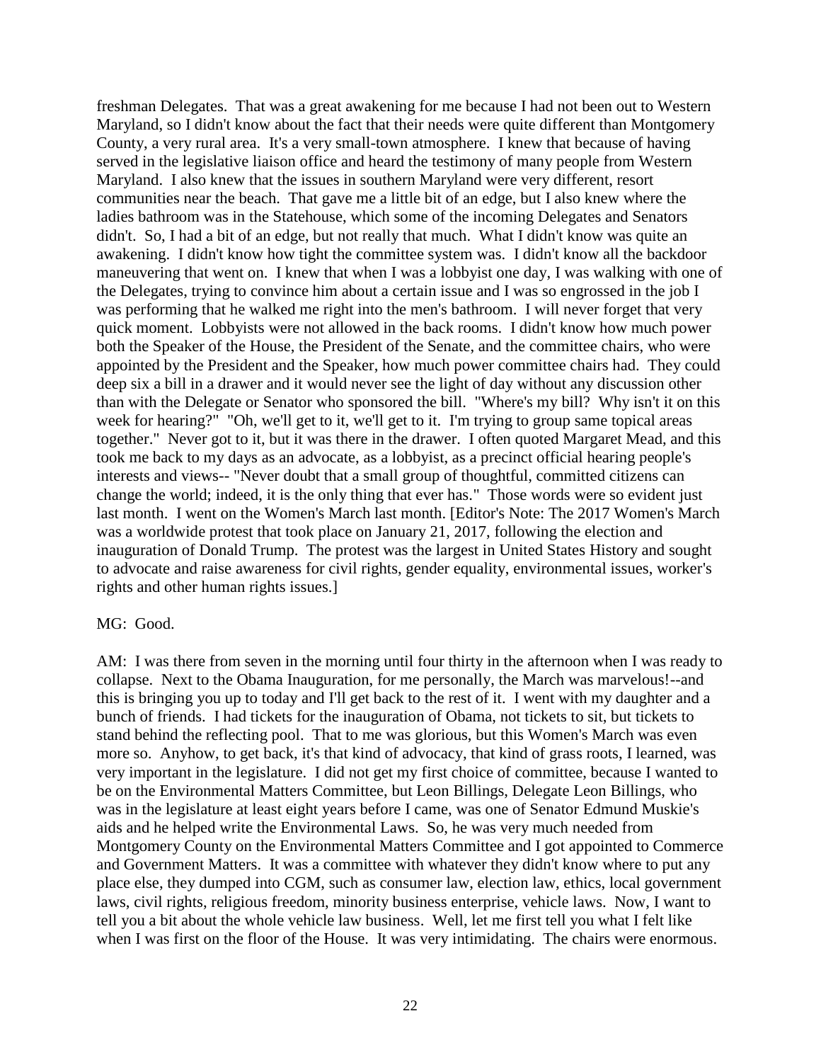freshman Delegates. That was a great awakening for me because I had not been out to Western Maryland, so I didn't know about the fact that their needs were quite different than Montgomery County, a very rural area. It's a very small-town atmosphere. I knew that because of having served in the legislative liaison office and heard the testimony of many people from Western Maryland. I also knew that the issues in southern Maryland were very different, resort communities near the beach. That gave me a little bit of an edge, but I also knew where the ladies bathroom was in the Statehouse, which some of the incoming Delegates and Senators didn't. So, I had a bit of an edge, but not really that much. What I didn't know was quite an awakening. I didn't know how tight the committee system was. I didn't know all the backdoor maneuvering that went on. I knew that when I was a lobbyist one day, I was walking with one of the Delegates, trying to convince him about a certain issue and I was so engrossed in the job I was performing that he walked me right into the men's bathroom. I will never forget that very quick moment. Lobbyists were not allowed in the back rooms. I didn't know how much power both the Speaker of the House, the President of the Senate, and the committee chairs, who were appointed by the President and the Speaker, how much power committee chairs had. They could deep six a bill in a drawer and it would never see the light of day without any discussion other than with the Delegate or Senator who sponsored the bill. "Where's my bill? Why isn't it on this week for hearing?" "Oh, we'll get to it, we'll get to it. I'm trying to group same topical areas together." Never got to it, but it was there in the drawer. I often quoted Margaret Mead, and this took me back to my days as an advocate, as a lobbyist, as a precinct official hearing people's interests and views-- "Never doubt that a small group of thoughtful, committed citizens can change the world; indeed, it is the only thing that ever has." Those words were so evident just last month. I went on the Women's March last month. [Editor's Note: The 2017 Women's March was a worldwide protest that took place on January 21, 2017, following the election and inauguration of Donald Trump. The protest was the largest in United States History and sought to advocate and raise awareness for civil rights, gender equality, environmental issues, worker's rights and other human rights issues.]

## MG: Good.

AM: I was there from seven in the morning until four thirty in the afternoon when I was ready to collapse. Next to the Obama Inauguration, for me personally, the March was marvelous!--and this is bringing you up to today and I'll get back to the rest of it. I went with my daughter and a bunch of friends. I had tickets for the inauguration of Obama, not tickets to sit, but tickets to stand behind the reflecting pool. That to me was glorious, but this Women's March was even more so. Anyhow, to get back, it's that kind of advocacy, that kind of grass roots, I learned, was very important in the legislature. I did not get my first choice of committee, because I wanted to be on the Environmental Matters Committee, but Leon Billings, Delegate Leon Billings, who was in the legislature at least eight years before I came, was one of Senator Edmund Muskie's aids and he helped write the Environmental Laws. So, he was very much needed from Montgomery County on the Environmental Matters Committee and I got appointed to Commerce and Government Matters. It was a committee with whatever they didn't know where to put any place else, they dumped into CGM, such as consumer law, election law, ethics, local government laws, civil rights, religious freedom, minority business enterprise, vehicle laws. Now, I want to tell you a bit about the whole vehicle law business. Well, let me first tell you what I felt like when I was first on the floor of the House. It was very intimidating. The chairs were enormous.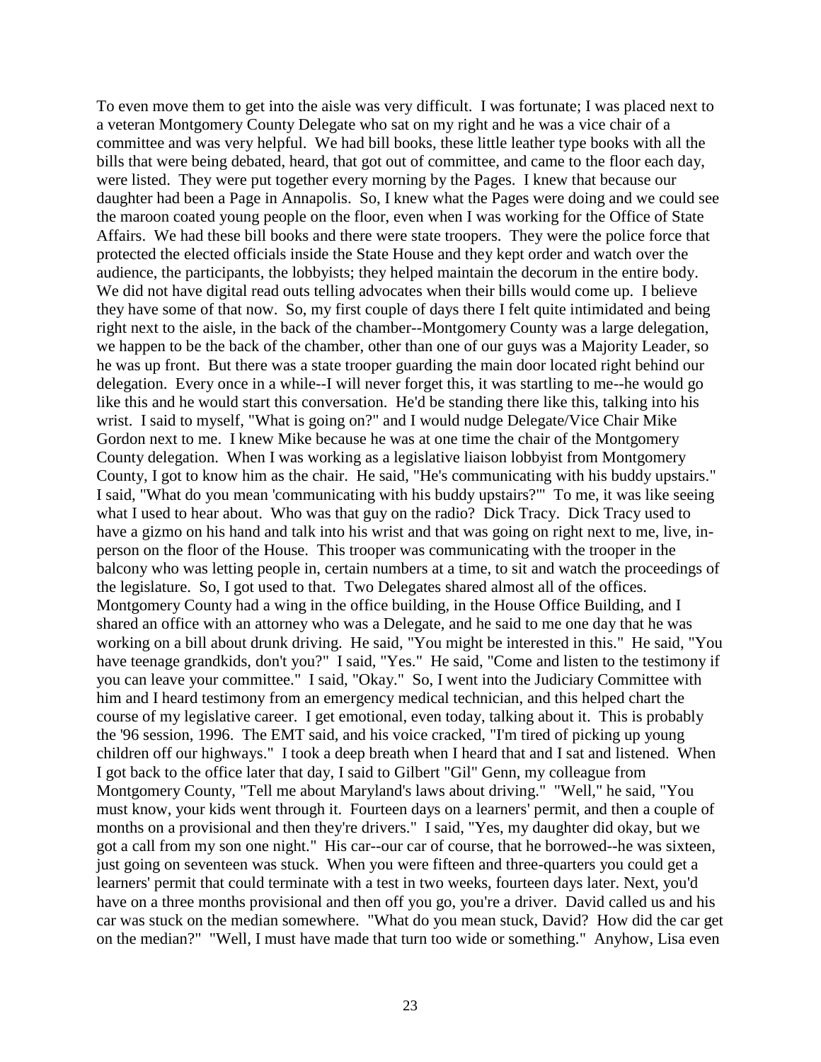To even move them to get into the aisle was very difficult. I was fortunate; I was placed next to a veteran Montgomery County Delegate who sat on my right and he was a vice chair of a committee and was very helpful. We had bill books, these little leather type books with all the bills that were being debated, heard, that got out of committee, and came to the floor each day, were listed. They were put together every morning by the Pages. I knew that because our daughter had been a Page in Annapolis. So, I knew what the Pages were doing and we could see the maroon coated young people on the floor, even when I was working for the Office of State Affairs. We had these bill books and there were state troopers. They were the police force that protected the elected officials inside the State House and they kept order and watch over the audience, the participants, the lobbyists; they helped maintain the decorum in the entire body. We did not have digital read outs telling advocates when their bills would come up. I believe they have some of that now. So, my first couple of days there I felt quite intimidated and being right next to the aisle, in the back of the chamber--Montgomery County was a large delegation, we happen to be the back of the chamber, other than one of our guys was a Majority Leader, so he was up front. But there was a state trooper guarding the main door located right behind our delegation. Every once in a while--I will never forget this, it was startling to me--he would go like this and he would start this conversation. He'd be standing there like this, talking into his wrist. I said to myself, "What is going on?" and I would nudge Delegate/Vice Chair Mike Gordon next to me. I knew Mike because he was at one time the chair of the Montgomery County delegation. When I was working as a legislative liaison lobbyist from Montgomery County, I got to know him as the chair. He said, "He's communicating with his buddy upstairs." I said, "What do you mean 'communicating with his buddy upstairs?'" To me, it was like seeing what I used to hear about. Who was that guy on the radio? Dick Tracy. Dick Tracy used to have a gizmo on his hand and talk into his wrist and that was going on right next to me, live, inperson on the floor of the House. This trooper was communicating with the trooper in the balcony who was letting people in, certain numbers at a time, to sit and watch the proceedings of the legislature. So, I got used to that. Two Delegates shared almost all of the offices. Montgomery County had a wing in the office building, in the House Office Building, and I shared an office with an attorney who was a Delegate, and he said to me one day that he was working on a bill about drunk driving. He said, "You might be interested in this." He said, "You have teenage grandkids, don't you?" I said, "Yes." He said, "Come and listen to the testimony if you can leave your committee." I said, "Okay." So, I went into the Judiciary Committee with him and I heard testimony from an emergency medical technician, and this helped chart the course of my legislative career. I get emotional, even today, talking about it. This is probably the '96 session, 1996. The EMT said, and his voice cracked, "I'm tired of picking up young children off our highways." I took a deep breath when I heard that and I sat and listened. When I got back to the office later that day, I said to Gilbert "Gil" Genn, my colleague from Montgomery County, "Tell me about Maryland's laws about driving." "Well," he said, "You must know, your kids went through it. Fourteen days on a learners' permit, and then a couple of months on a provisional and then they're drivers." I said, "Yes, my daughter did okay, but we got a call from my son one night." His car--our car of course, that he borrowed--he was sixteen, just going on seventeen was stuck. When you were fifteen and three-quarters you could get a learners' permit that could terminate with a test in two weeks, fourteen days later. Next, you'd have on a three months provisional and then off you go, you're a driver. David called us and his car was stuck on the median somewhere. "What do you mean stuck, David? How did the car get on the median?" "Well, I must have made that turn too wide or something." Anyhow, Lisa even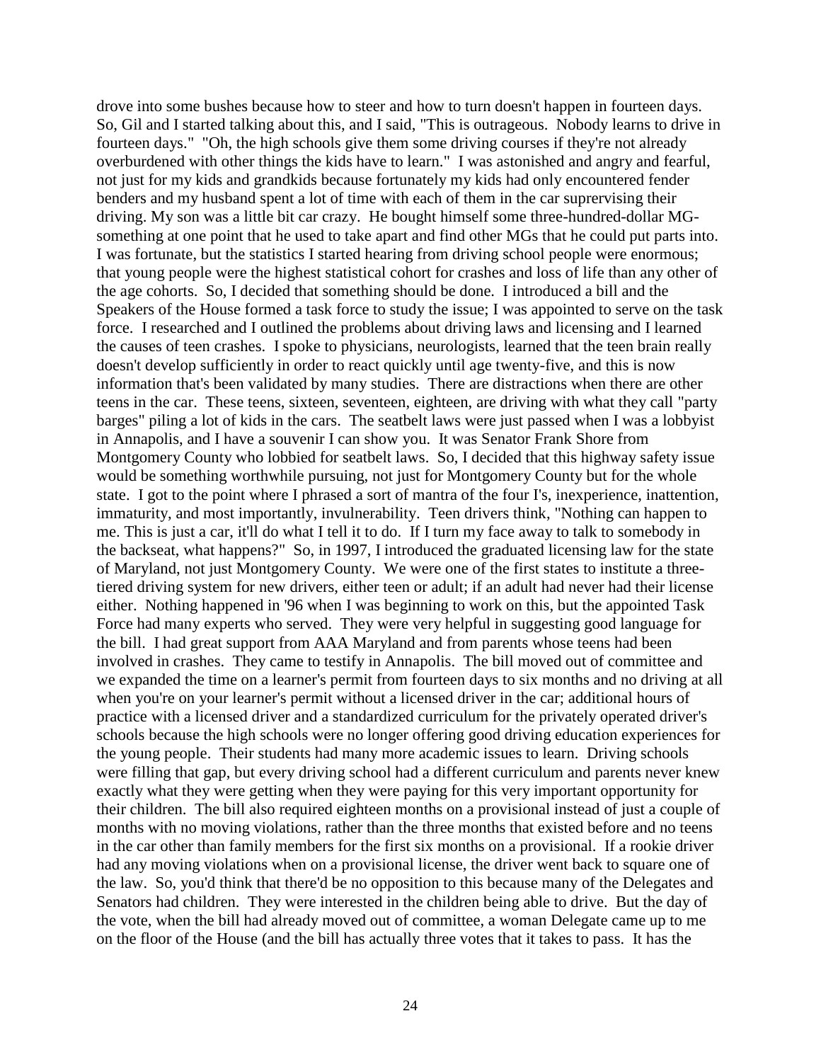drove into some bushes because how to steer and how to turn doesn't happen in fourteen days. So, Gil and I started talking about this, and I said, "This is outrageous. Nobody learns to drive in fourteen days." "Oh, the high schools give them some driving courses if they're not already overburdened with other things the kids have to learn." I was astonished and angry and fearful, not just for my kids and grandkids because fortunately my kids had only encountered fender benders and my husband spent a lot of time with each of them in the car suprervising their driving. My son was a little bit car crazy. He bought himself some three-hundred-dollar MGsomething at one point that he used to take apart and find other MGs that he could put parts into. I was fortunate, but the statistics I started hearing from driving school people were enormous; that young people were the highest statistical cohort for crashes and loss of life than any other of the age cohorts. So, I decided that something should be done. I introduced a bill and the Speakers of the House formed a task force to study the issue; I was appointed to serve on the task force. I researched and I outlined the problems about driving laws and licensing and I learned the causes of teen crashes. I spoke to physicians, neurologists, learned that the teen brain really doesn't develop sufficiently in order to react quickly until age twenty-five, and this is now information that's been validated by many studies. There are distractions when there are other teens in the car. These teens, sixteen, seventeen, eighteen, are driving with what they call "party barges" piling a lot of kids in the cars. The seatbelt laws were just passed when I was a lobbyist in Annapolis, and I have a souvenir I can show you. It was Senator Frank Shore from Montgomery County who lobbied for seatbelt laws. So, I decided that this highway safety issue would be something worthwhile pursuing, not just for Montgomery County but for the whole state. I got to the point where I phrased a sort of mantra of the four I's, inexperience, inattention, immaturity, and most importantly, invulnerability. Teen drivers think, "Nothing can happen to me. This is just a car, it'll do what I tell it to do. If I turn my face away to talk to somebody in the backseat, what happens?" So, in 1997, I introduced the graduated licensing law for the state of Maryland, not just Montgomery County. We were one of the first states to institute a threetiered driving system for new drivers, either teen or adult; if an adult had never had their license either. Nothing happened in '96 when I was beginning to work on this, but the appointed Task Force had many experts who served. They were very helpful in suggesting good language for the bill. I had great support from AAA Maryland and from parents whose teens had been involved in crashes. They came to testify in Annapolis. The bill moved out of committee and we expanded the time on a learner's permit from fourteen days to six months and no driving at all when you're on your learner's permit without a licensed driver in the car; additional hours of practice with a licensed driver and a standardized curriculum for the privately operated driver's schools because the high schools were no longer offering good driving education experiences for the young people. Their students had many more academic issues to learn. Driving schools were filling that gap, but every driving school had a different curriculum and parents never knew exactly what they were getting when they were paying for this very important opportunity for their children. The bill also required eighteen months on a provisional instead of just a couple of months with no moving violations, rather than the three months that existed before and no teens in the car other than family members for the first six months on a provisional. If a rookie driver had any moving violations when on a provisional license, the driver went back to square one of the law. So, you'd think that there'd be no opposition to this because many of the Delegates and Senators had children. They were interested in the children being able to drive. But the day of the vote, when the bill had already moved out of committee, a woman Delegate came up to me on the floor of the House (and the bill has actually three votes that it takes to pass. It has the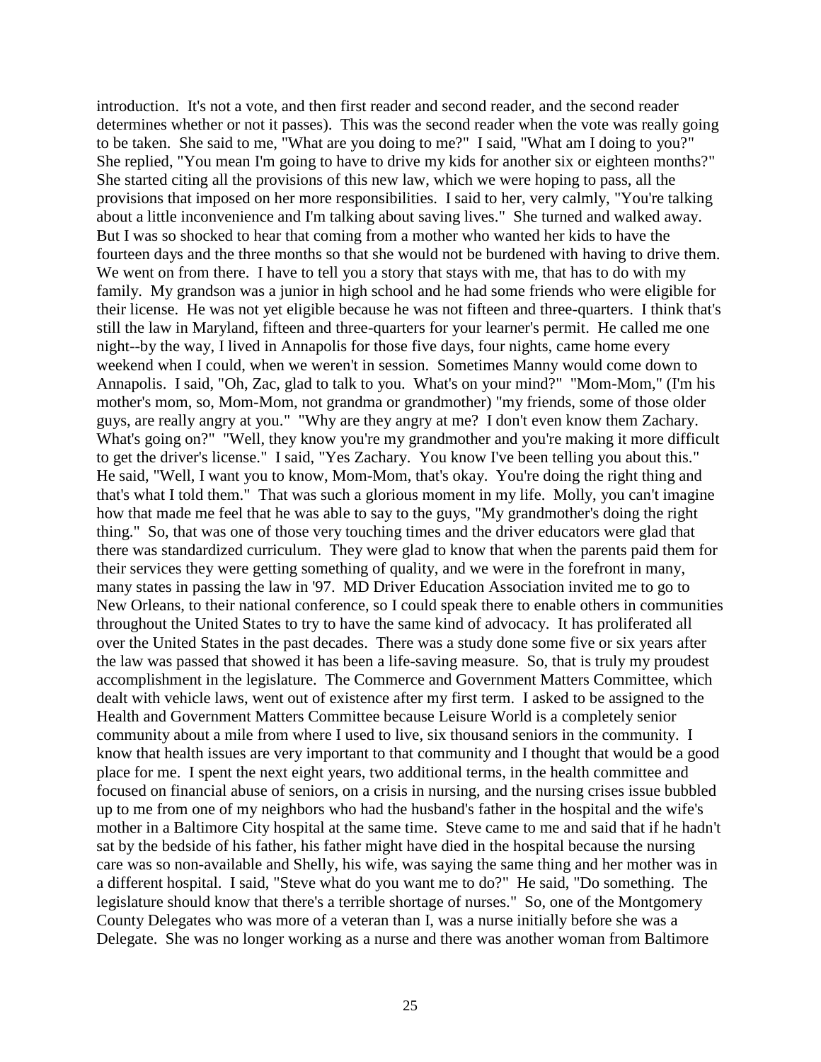introduction. It's not a vote, and then first reader and second reader, and the second reader determines whether or not it passes). This was the second reader when the vote was really going to be taken. She said to me, "What are you doing to me?" I said, "What am I doing to you?" She replied, "You mean I'm going to have to drive my kids for another six or eighteen months?" She started citing all the provisions of this new law, which we were hoping to pass, all the provisions that imposed on her more responsibilities. I said to her, very calmly, "You're talking about a little inconvenience and I'm talking about saving lives." She turned and walked away. But I was so shocked to hear that coming from a mother who wanted her kids to have the fourteen days and the three months so that she would not be burdened with having to drive them. We went on from there. I have to tell you a story that stays with me, that has to do with my family. My grandson was a junior in high school and he had some friends who were eligible for their license. He was not yet eligible because he was not fifteen and three-quarters. I think that's still the law in Maryland, fifteen and three-quarters for your learner's permit. He called me one night--by the way, I lived in Annapolis for those five days, four nights, came home every weekend when I could, when we weren't in session. Sometimes Manny would come down to Annapolis. I said, "Oh, Zac, glad to talk to you. What's on your mind?" "Mom-Mom," (I'm his mother's mom, so, Mom-Mom, not grandma or grandmother) "my friends, some of those older guys, are really angry at you." "Why are they angry at me? I don't even know them Zachary. What's going on?" "Well, they know you're my grandmother and you're making it more difficult to get the driver's license." I said, "Yes Zachary. You know I've been telling you about this." He said, "Well, I want you to know, Mom-Mom, that's okay. You're doing the right thing and that's what I told them." That was such a glorious moment in my life. Molly, you can't imagine how that made me feel that he was able to say to the guys, "My grandmother's doing the right thing." So, that was one of those very touching times and the driver educators were glad that there was standardized curriculum. They were glad to know that when the parents paid them for their services they were getting something of quality, and we were in the forefront in many, many states in passing the law in '97. MD Driver Education Association invited me to go to New Orleans, to their national conference, so I could speak there to enable others in communities throughout the United States to try to have the same kind of advocacy. It has proliferated all over the United States in the past decades. There was a study done some five or six years after the law was passed that showed it has been a life-saving measure. So, that is truly my proudest accomplishment in the legislature. The Commerce and Government Matters Committee, which dealt with vehicle laws, went out of existence after my first term. I asked to be assigned to the Health and Government Matters Committee because Leisure World is a completely senior community about a mile from where I used to live, six thousand seniors in the community. I know that health issues are very important to that community and I thought that would be a good place for me. I spent the next eight years, two additional terms, in the health committee and focused on financial abuse of seniors, on a crisis in nursing, and the nursing crises issue bubbled up to me from one of my neighbors who had the husband's father in the hospital and the wife's mother in a Baltimore City hospital at the same time. Steve came to me and said that if he hadn't sat by the bedside of his father, his father might have died in the hospital because the nursing care was so non-available and Shelly, his wife, was saying the same thing and her mother was in a different hospital. I said, "Steve what do you want me to do?" He said, "Do something. The legislature should know that there's a terrible shortage of nurses." So, one of the Montgomery County Delegates who was more of a veteran than I, was a nurse initially before she was a Delegate. She was no longer working as a nurse and there was another woman from Baltimore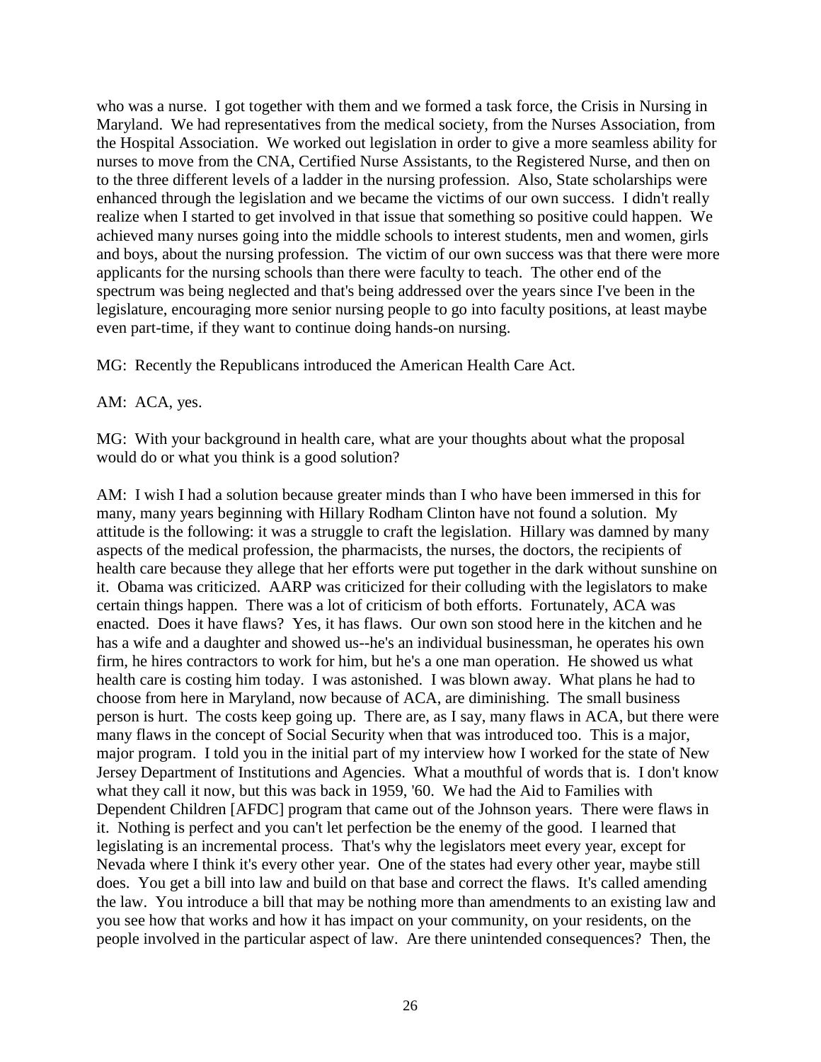who was a nurse. I got together with them and we formed a task force, the Crisis in Nursing in Maryland. We had representatives from the medical society, from the Nurses Association, from the Hospital Association. We worked out legislation in order to give a more seamless ability for nurses to move from the CNA, Certified Nurse Assistants, to the Registered Nurse, and then on to the three different levels of a ladder in the nursing profession. Also, State scholarships were enhanced through the legislation and we became the victims of our own success. I didn't really realize when I started to get involved in that issue that something so positive could happen. We achieved many nurses going into the middle schools to interest students, men and women, girls and boys, about the nursing profession. The victim of our own success was that there were more applicants for the nursing schools than there were faculty to teach. The other end of the spectrum was being neglected and that's being addressed over the years since I've been in the legislature, encouraging more senior nursing people to go into faculty positions, at least maybe even part-time, if they want to continue doing hands-on nursing.

MG: Recently the Republicans introduced the American Health Care Act.

AM: ACA, yes.

MG: With your background in health care, what are your thoughts about what the proposal would do or what you think is a good solution?

AM: I wish I had a solution because greater minds than I who have been immersed in this for many, many years beginning with Hillary Rodham Clinton have not found a solution. My attitude is the following: it was a struggle to craft the legislation. Hillary was damned by many aspects of the medical profession, the pharmacists, the nurses, the doctors, the recipients of health care because they allege that her efforts were put together in the dark without sunshine on it. Obama was criticized. AARP was criticized for their colluding with the legislators to make certain things happen. There was a lot of criticism of both efforts. Fortunately, ACA was enacted. Does it have flaws? Yes, it has flaws. Our own son stood here in the kitchen and he has a wife and a daughter and showed us--he's an individual businessman, he operates his own firm, he hires contractors to work for him, but he's a one man operation. He showed us what health care is costing him today. I was astonished. I was blown away. What plans he had to choose from here in Maryland, now because of ACA, are diminishing. The small business person is hurt. The costs keep going up. There are, as I say, many flaws in ACA, but there were many flaws in the concept of Social Security when that was introduced too. This is a major, major program. I told you in the initial part of my interview how I worked for the state of New Jersey Department of Institutions and Agencies. What a mouthful of words that is. I don't know what they call it now, but this was back in 1959, '60. We had the Aid to Families with Dependent Children [AFDC] program that came out of the Johnson years. There were flaws in it. Nothing is perfect and you can't let perfection be the enemy of the good. I learned that legislating is an incremental process. That's why the legislators meet every year, except for Nevada where I think it's every other year. One of the states had every other year, maybe still does. You get a bill into law and build on that base and correct the flaws. It's called amending the law. You introduce a bill that may be nothing more than amendments to an existing law and you see how that works and how it has impact on your community, on your residents, on the people involved in the particular aspect of law. Are there unintended consequences? Then, the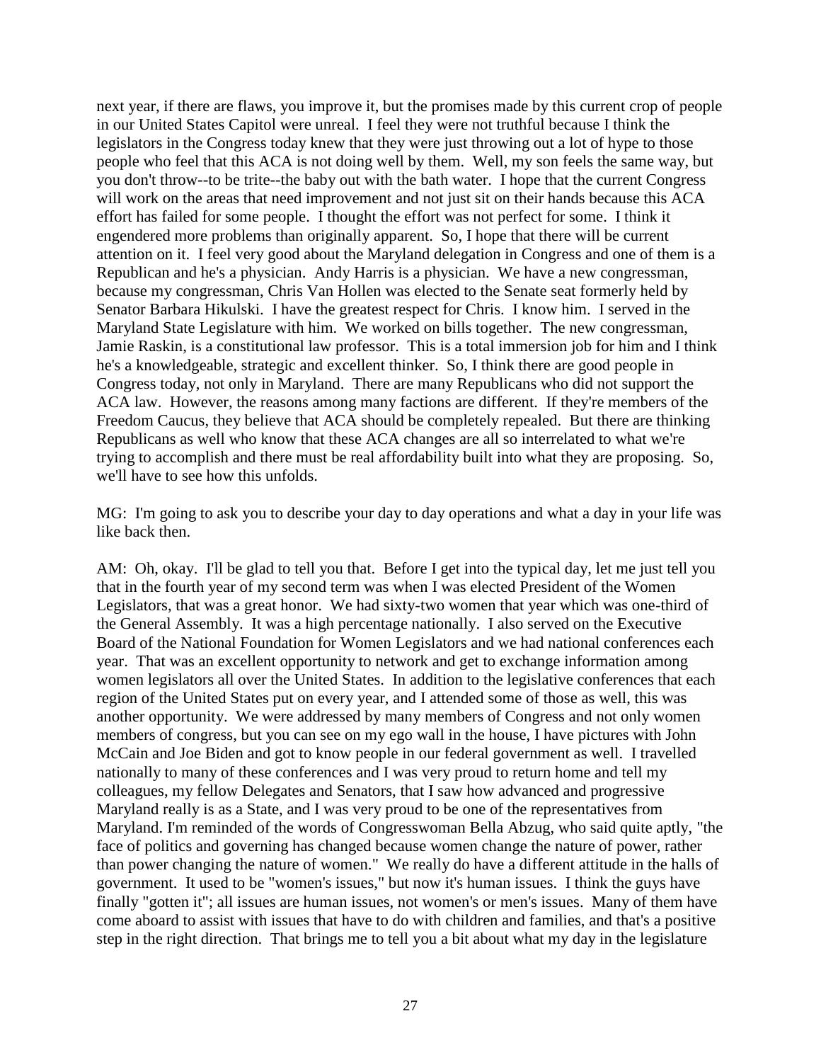next year, if there are flaws, you improve it, but the promises made by this current crop of people in our United States Capitol were unreal. I feel they were not truthful because I think the legislators in the Congress today knew that they were just throwing out a lot of hype to those people who feel that this ACA is not doing well by them. Well, my son feels the same way, but you don't throw--to be trite--the baby out with the bath water. I hope that the current Congress will work on the areas that need improvement and not just sit on their hands because this ACA effort has failed for some people. I thought the effort was not perfect for some. I think it engendered more problems than originally apparent. So, I hope that there will be current attention on it. I feel very good about the Maryland delegation in Congress and one of them is a Republican and he's a physician. Andy Harris is a physician. We have a new congressman, because my congressman, Chris Van Hollen was elected to the Senate seat formerly held by Senator Barbara Hikulski. I have the greatest respect for Chris. I know him. I served in the Maryland State Legislature with him. We worked on bills together. The new congressman, Jamie Raskin, is a constitutional law professor. This is a total immersion job for him and I think he's a knowledgeable, strategic and excellent thinker. So, I think there are good people in Congress today, not only in Maryland. There are many Republicans who did not support the ACA law. However, the reasons among many factions are different. If they're members of the Freedom Caucus, they believe that ACA should be completely repealed. But there are thinking Republicans as well who know that these ACA changes are all so interrelated to what we're trying to accomplish and there must be real affordability built into what they are proposing. So, we'll have to see how this unfolds.

MG: I'm going to ask you to describe your day to day operations and what a day in your life was like back then.

AM: Oh, okay. I'll be glad to tell you that. Before I get into the typical day, let me just tell you that in the fourth year of my second term was when I was elected President of the Women Legislators, that was a great honor. We had sixty-two women that year which was one-third of the General Assembly. It was a high percentage nationally. I also served on the Executive Board of the National Foundation for Women Legislators and we had national conferences each year. That was an excellent opportunity to network and get to exchange information among women legislators all over the United States. In addition to the legislative conferences that each region of the United States put on every year, and I attended some of those as well, this was another opportunity. We were addressed by many members of Congress and not only women members of congress, but you can see on my ego wall in the house, I have pictures with John McCain and Joe Biden and got to know people in our federal government as well. I travelled nationally to many of these conferences and I was very proud to return home and tell my colleagues, my fellow Delegates and Senators, that I saw how advanced and progressive Maryland really is as a State, and I was very proud to be one of the representatives from Maryland. I'm reminded of the words of Congresswoman Bella Abzug, who said quite aptly, "the face of politics and governing has changed because women change the nature of power, rather than power changing the nature of women." We really do have a different attitude in the halls of government. It used to be "women's issues," but now it's human issues. I think the guys have finally "gotten it"; all issues are human issues, not women's or men's issues. Many of them have come aboard to assist with issues that have to do with children and families, and that's a positive step in the right direction. That brings me to tell you a bit about what my day in the legislature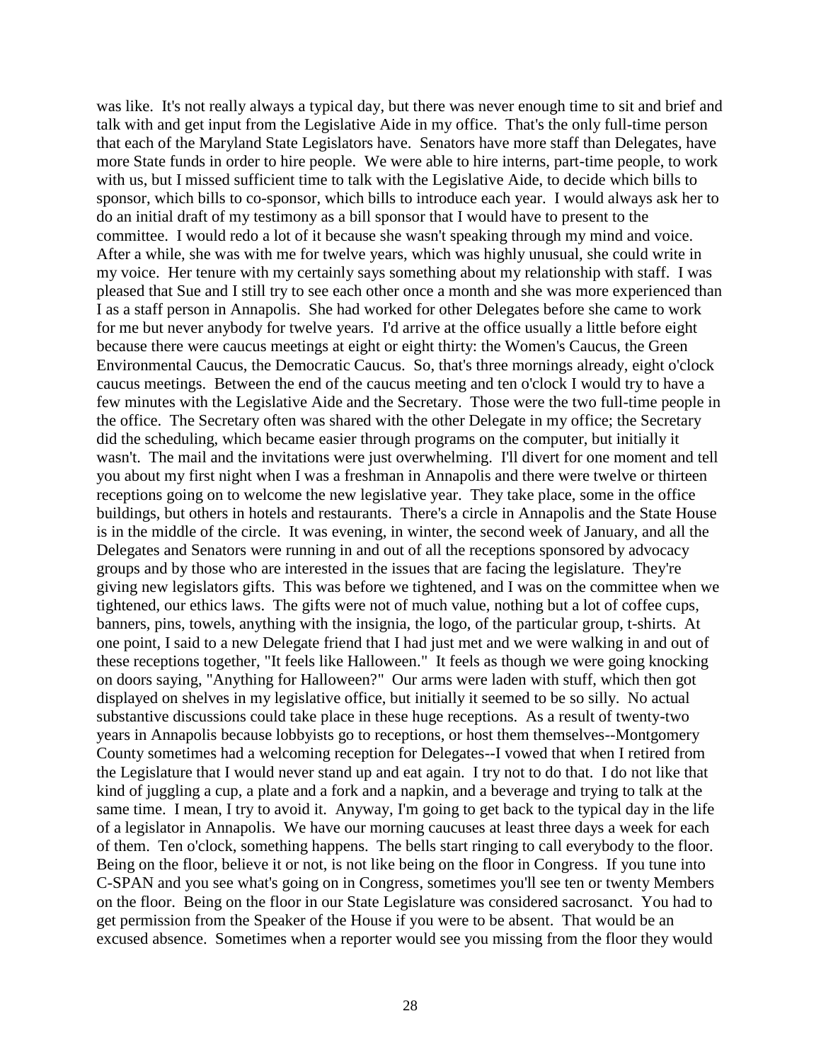was like. It's not really always a typical day, but there was never enough time to sit and brief and talk with and get input from the Legislative Aide in my office. That's the only full-time person that each of the Maryland State Legislators have. Senators have more staff than Delegates, have more State funds in order to hire people. We were able to hire interns, part-time people, to work with us, but I missed sufficient time to talk with the Legislative Aide, to decide which bills to sponsor, which bills to co-sponsor, which bills to introduce each year. I would always ask her to do an initial draft of my testimony as a bill sponsor that I would have to present to the committee. I would redo a lot of it because she wasn't speaking through my mind and voice. After a while, she was with me for twelve years, which was highly unusual, she could write in my voice. Her tenure with my certainly says something about my relationship with staff. I was pleased that Sue and I still try to see each other once a month and she was more experienced than I as a staff person in Annapolis. She had worked for other Delegates before she came to work for me but never anybody for twelve years. I'd arrive at the office usually a little before eight because there were caucus meetings at eight or eight thirty: the Women's Caucus, the Green Environmental Caucus, the Democratic Caucus. So, that's three mornings already, eight o'clock caucus meetings. Between the end of the caucus meeting and ten o'clock I would try to have a few minutes with the Legislative Aide and the Secretary. Those were the two full-time people in the office. The Secretary often was shared with the other Delegate in my office; the Secretary did the scheduling, which became easier through programs on the computer, but initially it wasn't. The mail and the invitations were just overwhelming. I'll divert for one moment and tell you about my first night when I was a freshman in Annapolis and there were twelve or thirteen receptions going on to welcome the new legislative year. They take place, some in the office buildings, but others in hotels and restaurants. There's a circle in Annapolis and the State House is in the middle of the circle. It was evening, in winter, the second week of January, and all the Delegates and Senators were running in and out of all the receptions sponsored by advocacy groups and by those who are interested in the issues that are facing the legislature. They're giving new legislators gifts. This was before we tightened, and I was on the committee when we tightened, our ethics laws. The gifts were not of much value, nothing but a lot of coffee cups, banners, pins, towels, anything with the insignia, the logo, of the particular group, t-shirts. At one point, I said to a new Delegate friend that I had just met and we were walking in and out of these receptions together, "It feels like Halloween." It feels as though we were going knocking on doors saying, "Anything for Halloween?" Our arms were laden with stuff, which then got displayed on shelves in my legislative office, but initially it seemed to be so silly. No actual substantive discussions could take place in these huge receptions. As a result of twenty-two years in Annapolis because lobbyists go to receptions, or host them themselves--Montgomery County sometimes had a welcoming reception for Delegates--I vowed that when I retired from the Legislature that I would never stand up and eat again. I try not to do that. I do not like that kind of juggling a cup, a plate and a fork and a napkin, and a beverage and trying to talk at the same time. I mean, I try to avoid it. Anyway, I'm going to get back to the typical day in the life of a legislator in Annapolis. We have our morning caucuses at least three days a week for each of them. Ten o'clock, something happens. The bells start ringing to call everybody to the floor. Being on the floor, believe it or not, is not like being on the floor in Congress. If you tune into C-SPAN and you see what's going on in Congress, sometimes you'll see ten or twenty Members on the floor. Being on the floor in our State Legislature was considered sacrosanct. You had to get permission from the Speaker of the House if you were to be absent. That would be an excused absence. Sometimes when a reporter would see you missing from the floor they would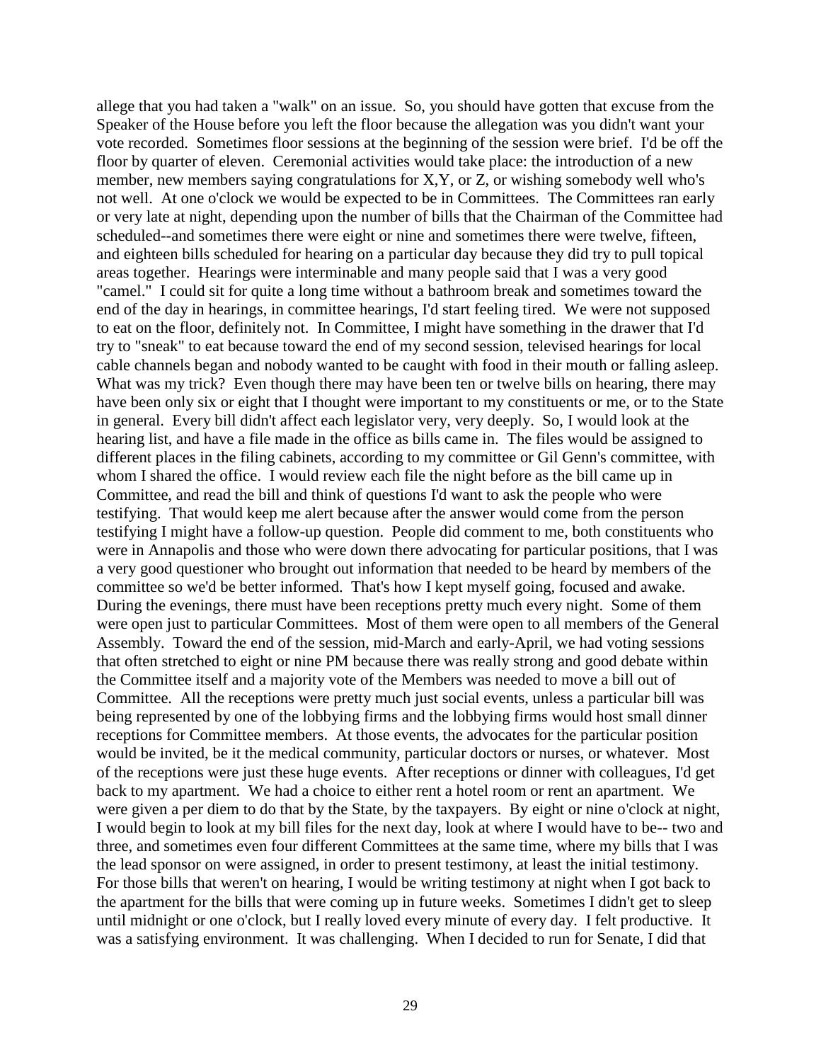allege that you had taken a "walk" on an issue. So, you should have gotten that excuse from the Speaker of the House before you left the floor because the allegation was you didn't want your vote recorded. Sometimes floor sessions at the beginning of the session were brief. I'd be off the floor by quarter of eleven. Ceremonial activities would take place: the introduction of a new member, new members saying congratulations for X,Y, or Z, or wishing somebody well who's not well. At one o'clock we would be expected to be in Committees. The Committees ran early or very late at night, depending upon the number of bills that the Chairman of the Committee had scheduled--and sometimes there were eight or nine and sometimes there were twelve, fifteen, and eighteen bills scheduled for hearing on a particular day because they did try to pull topical areas together. Hearings were interminable and many people said that I was a very good "camel." I could sit for quite a long time without a bathroom break and sometimes toward the end of the day in hearings, in committee hearings, I'd start feeling tired. We were not supposed to eat on the floor, definitely not. In Committee, I might have something in the drawer that I'd try to "sneak" to eat because toward the end of my second session, televised hearings for local cable channels began and nobody wanted to be caught with food in their mouth or falling asleep. What was my trick? Even though there may have been ten or twelve bills on hearing, there may have been only six or eight that I thought were important to my constituents or me, or to the State in general. Every bill didn't affect each legislator very, very deeply. So, I would look at the hearing list, and have a file made in the office as bills came in. The files would be assigned to different places in the filing cabinets, according to my committee or Gil Genn's committee, with whom I shared the office. I would review each file the night before as the bill came up in Committee, and read the bill and think of questions I'd want to ask the people who were testifying. That would keep me alert because after the answer would come from the person testifying I might have a follow-up question. People did comment to me, both constituents who were in Annapolis and those who were down there advocating for particular positions, that I was a very good questioner who brought out information that needed to be heard by members of the committee so we'd be better informed. That's how I kept myself going, focused and awake. During the evenings, there must have been receptions pretty much every night. Some of them were open just to particular Committees. Most of them were open to all members of the General Assembly. Toward the end of the session, mid-March and early-April, we had voting sessions that often stretched to eight or nine PM because there was really strong and good debate within the Committee itself and a majority vote of the Members was needed to move a bill out of Committee. All the receptions were pretty much just social events, unless a particular bill was being represented by one of the lobbying firms and the lobbying firms would host small dinner receptions for Committee members. At those events, the advocates for the particular position would be invited, be it the medical community, particular doctors or nurses, or whatever. Most of the receptions were just these huge events. After receptions or dinner with colleagues, I'd get back to my apartment. We had a choice to either rent a hotel room or rent an apartment. We were given a per diem to do that by the State, by the taxpayers. By eight or nine o'clock at night, I would begin to look at my bill files for the next day, look at where I would have to be-- two and three, and sometimes even four different Committees at the same time, where my bills that I was the lead sponsor on were assigned, in order to present testimony, at least the initial testimony. For those bills that weren't on hearing, I would be writing testimony at night when I got back to the apartment for the bills that were coming up in future weeks. Sometimes I didn't get to sleep until midnight or one o'clock, but I really loved every minute of every day. I felt productive. It was a satisfying environment. It was challenging. When I decided to run for Senate, I did that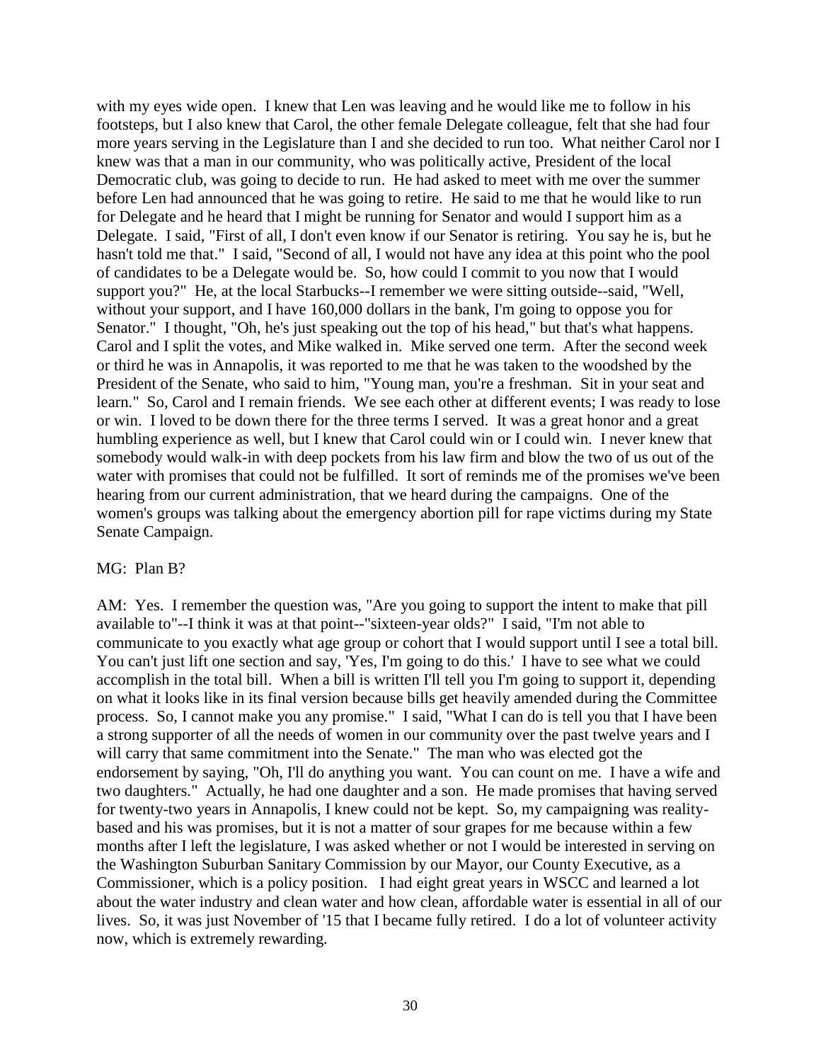with my eyes wide open. I knew that Len was leaving and he would like me to follow in his footsteps, but I also knew that Carol, the other female Delegate colleague, felt that she had four more years serving in the Legislature than I and she decided to run too. What neither Carol nor I knew was that a man in our community, who was politically active, President of the local Democratic club, was going to decide to run. He had asked to meet with me over the summer before Len had announced that he was going to retire. He said to me that he would like to run for Delegate and he heard that I might be running for Senator and would I support him as a Delegate. I said, "First of all, I don't even know if our Senator is retiring. You say he is, but he hasn't told me that." I said, "Second of all, I would not have any idea at this point who the pool of candidates to be a Delegate would be. So, how could I commit to you now that I would support you?" He, at the local Starbucks--I remember we were sitting outside--said, "Well, without your support, and I have 160,000 dollars in the bank, I'm going to oppose you for Senator." I thought, "Oh, he's just speaking out the top of his head," but that's what happens. Carol and I split the votes, and Mike walked in. Mike served one term. After the second week or third he was in Annapolis, it was reported to me that he was taken to the woodshed by the President of the Senate, who said to him, "Young man, you're a freshman. Sit in your seat and learn." So, Carol and I remain friends. We see each other at different events; I was ready to lose or win. I loved to be down there for the three terms I served. It was a great honor and a great humbling experience as well, but I knew that Carol could win or I could win. I never knew that somebody would walk-in with deep pockets from his law firm and blow the two of us out of the water with promises that could not be fulfilled. It sort of reminds me of the promises we've been hearing from our current administration, that we heard during the campaigns. One of the women's groups was talking about the emergency abortion pill for rape victims during my State Senate Campaign.

## MG: Plan B?

AM: Yes. I remember the question was, "Are you going to support the intent to make that pill available to"--I think it was at that point--"sixteen-year olds?" I said, "I'm not able to communicate to you exactly what age group or cohort that I would support until I see a total bill. You can't just lift one section and say, 'Yes, I'm going to do this.' I have to see what we could accomplish in the total bill. When a bill is written I'll tell you I'm going to support it, depending on what it looks like in its final version because bills get heavily amended during the Committee process. So, I cannot make you any promise." I said, "What I can do is tell you that I have been a strong supporter of all the needs of women in our community over the past twelve years and I will carry that same commitment into the Senate." The man who was elected got the endorsement by saying, "Oh, I'll do anything you want. You can count on me. I have a wife and two daughters." Actually, he had one daughter and a son. He made promises that having served for twenty-two years in Annapolis, I knew could not be kept. So, my campaigning was realitybased and his was promises, but it is not a matter of sour grapes for me because within a few months after I left the legislature, I was asked whether or not I would be interested in serving on the Washington Suburban Sanitary Commission by our Mayor, our County Executive, as a Commissioner, which is a policy position. I had eight great years in WSCC and learned a lot about the water industry and clean water and how clean, affordable water is essential in all of our lives. So, it was just November of '15 that I became fully retired. I do a lot of volunteer activity now, which is extremely rewarding.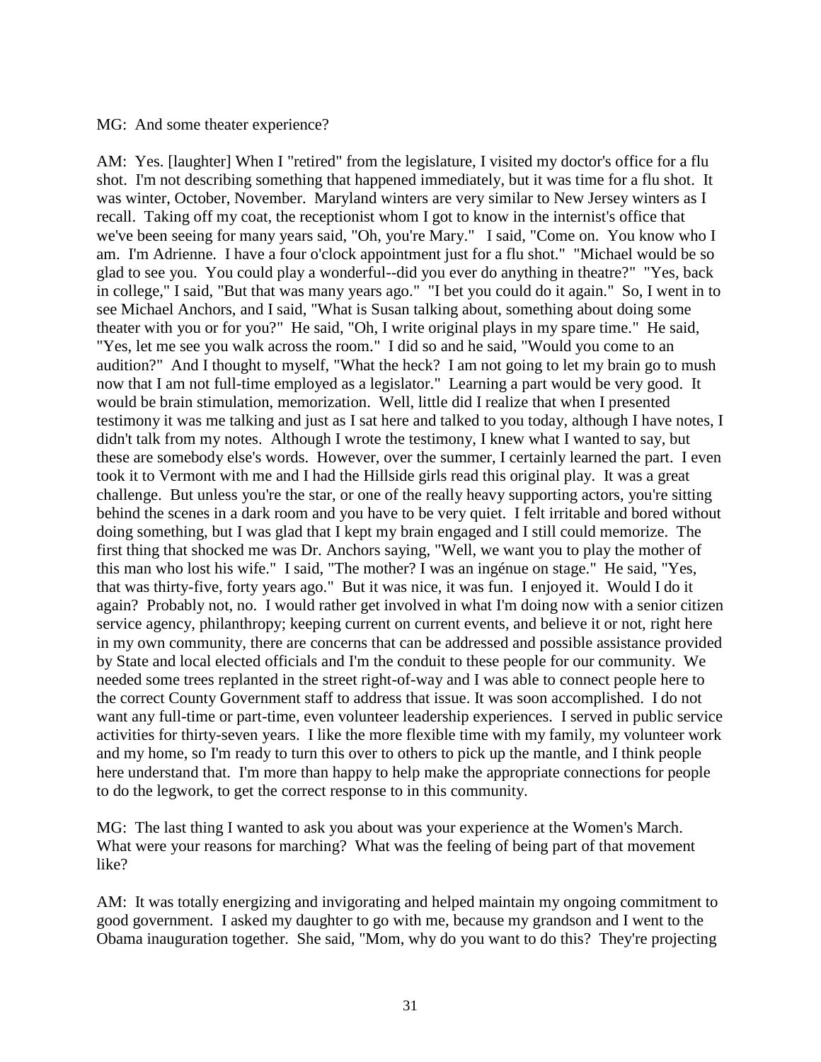## MG: And some theater experience?

AM: Yes. [laughter] When I "retired" from the legislature, I visited my doctor's office for a flu shot. I'm not describing something that happened immediately, but it was time for a flu shot. It was winter, October, November. Maryland winters are very similar to New Jersey winters as I recall. Taking off my coat, the receptionist whom I got to know in the internist's office that we've been seeing for many years said, "Oh, you're Mary." I said, "Come on. You know who I am. I'm Adrienne. I have a four o'clock appointment just for a flu shot." "Michael would be so glad to see you. You could play a wonderful--did you ever do anything in theatre?" "Yes, back in college," I said, "But that was many years ago." "I bet you could do it again." So, I went in to see Michael Anchors, and I said, "What is Susan talking about, something about doing some theater with you or for you?" He said, "Oh, I write original plays in my spare time." He said, "Yes, let me see you walk across the room." I did so and he said, "Would you come to an audition?" And I thought to myself, "What the heck? I am not going to let my brain go to mush now that I am not full-time employed as a legislator." Learning a part would be very good. It would be brain stimulation, memorization. Well, little did I realize that when I presented testimony it was me talking and just as I sat here and talked to you today, although I have notes, I didn't talk from my notes. Although I wrote the testimony, I knew what I wanted to say, but these are somebody else's words. However, over the summer, I certainly learned the part. I even took it to Vermont with me and I had the Hillside girls read this original play. It was a great challenge. But unless you're the star, or one of the really heavy supporting actors, you're sitting behind the scenes in a dark room and you have to be very quiet. I felt irritable and bored without doing something, but I was glad that I kept my brain engaged and I still could memorize. The first thing that shocked me was Dr. Anchors saying, "Well, we want you to play the mother of this man who lost his wife." I said, "The mother? I was an ingénue on stage." He said, "Yes, that was thirty-five, forty years ago." But it was nice, it was fun. I enjoyed it. Would I do it again? Probably not, no. I would rather get involved in what I'm doing now with a senior citizen service agency, philanthropy; keeping current on current events, and believe it or not, right here in my own community, there are concerns that can be addressed and possible assistance provided by State and local elected officials and I'm the conduit to these people for our community. We needed some trees replanted in the street right-of-way and I was able to connect people here to the correct County Government staff to address that issue. It was soon accomplished. I do not want any full-time or part-time, even volunteer leadership experiences. I served in public service activities for thirty-seven years. I like the more flexible time with my family, my volunteer work and my home, so I'm ready to turn this over to others to pick up the mantle, and I think people here understand that. I'm more than happy to help make the appropriate connections for people to do the legwork, to get the correct response to in this community.

MG: The last thing I wanted to ask you about was your experience at the Women's March. What were your reasons for marching? What was the feeling of being part of that movement like?

AM: It was totally energizing and invigorating and helped maintain my ongoing commitment to good government. I asked my daughter to go with me, because my grandson and I went to the Obama inauguration together. She said, "Mom, why do you want to do this? They're projecting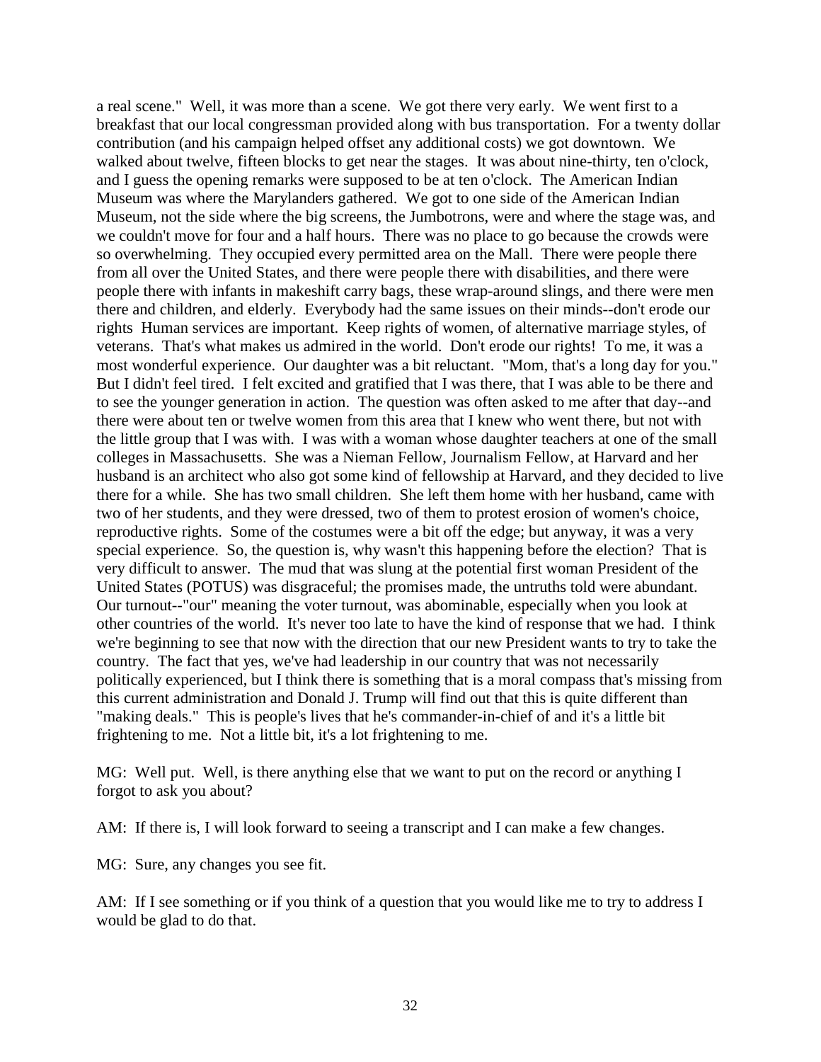a real scene." Well, it was more than a scene. We got there very early. We went first to a breakfast that our local congressman provided along with bus transportation. For a twenty dollar contribution (and his campaign helped offset any additional costs) we got downtown. We walked about twelve, fifteen blocks to get near the stages. It was about nine-thirty, ten o'clock, and I guess the opening remarks were supposed to be at ten o'clock. The American Indian Museum was where the Marylanders gathered. We got to one side of the American Indian Museum, not the side where the big screens, the Jumbotrons, were and where the stage was, and we couldn't move for four and a half hours. There was no place to go because the crowds were so overwhelming. They occupied every permitted area on the Mall. There were people there from all over the United States, and there were people there with disabilities, and there were people there with infants in makeshift carry bags, these wrap-around slings, and there were men there and children, and elderly. Everybody had the same issues on their minds--don't erode our rights Human services are important. Keep rights of women, of alternative marriage styles, of veterans. That's what makes us admired in the world. Don't erode our rights! To me, it was a most wonderful experience. Our daughter was a bit reluctant. "Mom, that's a long day for you." But I didn't feel tired. I felt excited and gratified that I was there, that I was able to be there and to see the younger generation in action. The question was often asked to me after that day--and there were about ten or twelve women from this area that I knew who went there, but not with the little group that I was with. I was with a woman whose daughter teachers at one of the small colleges in Massachusetts. She was a Nieman Fellow, Journalism Fellow, at Harvard and her husband is an architect who also got some kind of fellowship at Harvard, and they decided to live there for a while. She has two small children. She left them home with her husband, came with two of her students, and they were dressed, two of them to protest erosion of women's choice, reproductive rights. Some of the costumes were a bit off the edge; but anyway, it was a very special experience. So, the question is, why wasn't this happening before the election? That is very difficult to answer. The mud that was slung at the potential first woman President of the United States (POTUS) was disgraceful; the promises made, the untruths told were abundant. Our turnout--"our" meaning the voter turnout, was abominable, especially when you look at other countries of the world. It's never too late to have the kind of response that we had. I think we're beginning to see that now with the direction that our new President wants to try to take the country. The fact that yes, we've had leadership in our country that was not necessarily politically experienced, but I think there is something that is a moral compass that's missing from this current administration and Donald J. Trump will find out that this is quite different than "making deals." This is people's lives that he's commander-in-chief of and it's a little bit frightening to me. Not a little bit, it's a lot frightening to me.

MG: Well put. Well, is there anything else that we want to put on the record or anything I forgot to ask you about?

AM: If there is, I will look forward to seeing a transcript and I can make a few changes.

MG: Sure, any changes you see fit.

AM: If I see something or if you think of a question that you would like me to try to address I would be glad to do that.